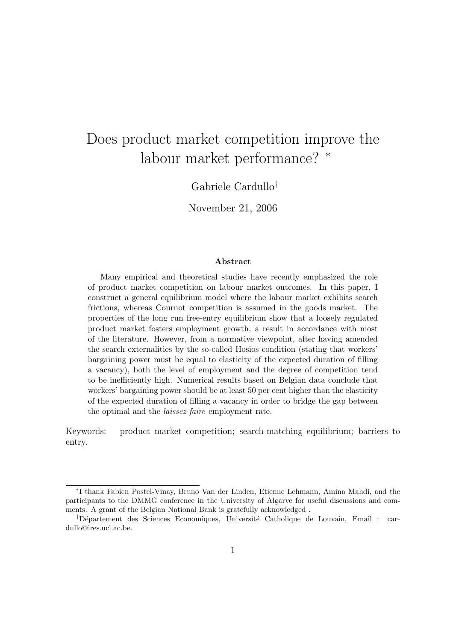# Does product market competition improve the labour market performance? <sup>∗</sup>

Gabriele Cardullo†

November 21, 2006

#### Abstract

Many empirical and theoretical studies have recently emphasized the role of product market competition on labour market outcomes. In this paper, I construct a general equilibrium model where the labour market exhibits search frictions, whereas Cournot competition is assumed in the goods market. The properties of the long run free-entry equilibrium show that a loosely regulated product market fosters employment growth, a result in accordance with most of the literature. However, from a normative viewpoint, after having amended the search externalities by the so-called Hosios condition (stating that workers' bargaining power must be equal to elasticity of the expected duration of filling a vacancy), both the level of employment and the degree of competition tend to be inefficiently high. Numerical results based on Belgian data conclude that workers' bargaining power should be at least 50 per cent higher than the elasticity of the expected duration of filling a vacancy in order to bridge the gap between the optimal and the laissez faire employment rate.

Keywords: product market competition; search-matching equilibrium; barriers to entry.

<sup>∗</sup> I thank Fabien Postel-Vinay, Bruno Van der Linden, Etienne Lehmann, Amina Mahdi, and the participants to the DMMG conference in the University of Algarve for useful discussions and comments. A grant of the Belgian National Bank is gratefully acknowledged .

<sup>&</sup>lt;sup>†</sup>Département des Sciences Economiques, Université Catholique de Louvain, Email : cardullo@ires.ucl.ac.be.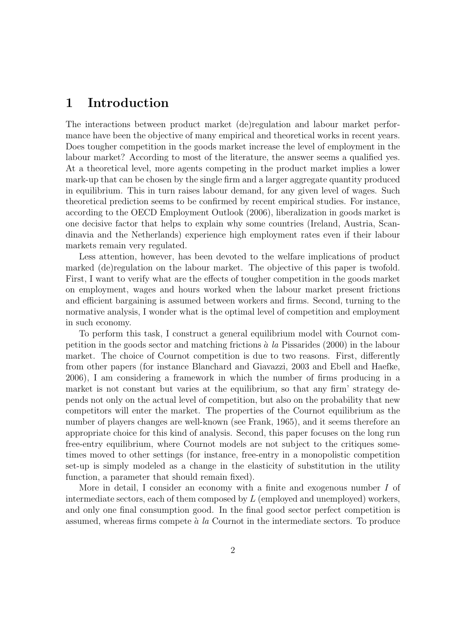# 1 Introduction

The interactions between product market (de)regulation and labour market performance have been the objective of many empirical and theoretical works in recent years. Does tougher competition in the goods market increase the level of employment in the labour market? According to most of the literature, the answer seems a qualified yes. At a theoretical level, more agents competing in the product market implies a lower mark-up that can be chosen by the single firm and a larger aggregate quantity produced in equilibrium. This in turn raises labour demand, for any given level of wages. Such theoretical prediction seems to be confirmed by recent empirical studies. For instance, according to the OECD Employment Outlook (2006), liberalization in goods market is one decisive factor that helps to explain why some countries (Ireland, Austria, Scandinavia and the Netherlands) experience high employment rates even if their labour markets remain very regulated.

Less attention, however, has been devoted to the welfare implications of product marked (de)regulation on the labour market. The objective of this paper is twofold. First, I want to verify what are the effects of tougher competition in the goods market on employment, wages and hours worked when the labour market present frictions and efficient bargaining is assumed between workers and firms. Second, turning to the normative analysis, I wonder what is the optimal level of competition and employment in such economy.

To perform this task, I construct a general equilibrium model with Cournot competition in the goods sector and matching frictions  $\dot{a}$  la Pissarides (2000) in the labour market. The choice of Cournot competition is due to two reasons. First, differently from other papers (for instance Blanchard and Giavazzi, 2003 and Ebell and Haefke, 2006), I am considering a framework in which the number of firms producing in a market is not constant but varies at the equilibrium, so that any firm' strategy depends not only on the actual level of competition, but also on the probability that new competitors will enter the market. The properties of the Cournot equilibrium as the number of players changes are well-known (see Frank, 1965), and it seems therefore an appropriate choice for this kind of analysis. Second, this paper focuses on the long run free-entry equilibrium, where Cournot models are not subject to the critiques sometimes moved to other settings (for instance, free-entry in a monopolistic competition set-up is simply modeled as a change in the elasticity of substitution in the utility function, a parameter that should remain fixed).

More in detail, I consider an economy with a finite and exogenous number I of intermediate sectors, each of them composed by  $L$  (employed and unemployed) workers, and only one final consumption good. In the final good sector perfect competition is assumed, whereas firms compete  $\dot{a}$  la Cournot in the intermediate sectors. To produce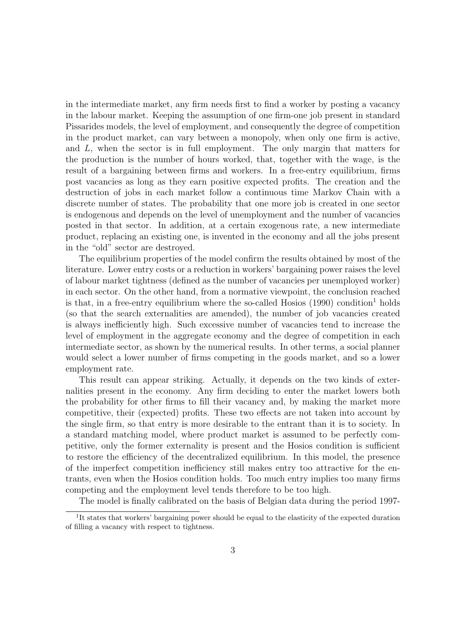in the intermediate market, any firm needs first to find a worker by posting a vacancy in the labour market. Keeping the assumption of one firm-one job present in standard Pissarides models, the level of employment, and consequently the degree of competition in the product market, can vary between a monopoly, when only one firm is active, and L, when the sector is in full employment. The only margin that matters for the production is the number of hours worked, that, together with the wage, is the result of a bargaining between firms and workers. In a free-entry equilibrium, firms post vacancies as long as they earn positive expected profits. The creation and the destruction of jobs in each market follow a continuous time Markov Chain with a discrete number of states. The probability that one more job is created in one sector is endogenous and depends on the level of unemployment and the number of vacancies posted in that sector. In addition, at a certain exogenous rate, a new intermediate product, replacing an existing one, is invented in the economy and all the jobs present in the "old" sector are destroyed.

The equilibrium properties of the model confirm the results obtained by most of the literature. Lower entry costs or a reduction in workers' bargaining power raises the level of labour market tightness (defined as the number of vacancies per unemployed worker) in each sector. On the other hand, from a normative viewpoint, the conclusion reached is that, in a free-entry equilibrium where the so-called Hosios  $(1990)$  condition<sup>1</sup> holds (so that the search externalities are amended), the number of job vacancies created is always inefficiently high. Such excessive number of vacancies tend to increase the level of employment in the aggregate economy and the degree of competition in each intermediate sector, as shown by the numerical results. In other terms, a social planner would select a lower number of firms competing in the goods market, and so a lower employment rate.

This result can appear striking. Actually, it depends on the two kinds of externalities present in the economy. Any firm deciding to enter the market lowers both the probability for other firms to fill their vacancy and, by making the market more competitive, their (expected) profits. These two effects are not taken into account by the single firm, so that entry is more desirable to the entrant than it is to society. In a standard matching model, where product market is assumed to be perfectly competitive, only the former externality is present and the Hosios condition is sufficient to restore the efficiency of the decentralized equilibrium. In this model, the presence of the imperfect competition inefficiency still makes entry too attractive for the entrants, even when the Hosios condition holds. Too much entry implies too many firms competing and the employment level tends therefore to be too high.

The model is finally calibrated on the basis of Belgian data during the period 1997-

<sup>&</sup>lt;sup>1</sup>It states that workers' bargaining power should be equal to the elasticity of the expected duration of filling a vacancy with respect to tightness.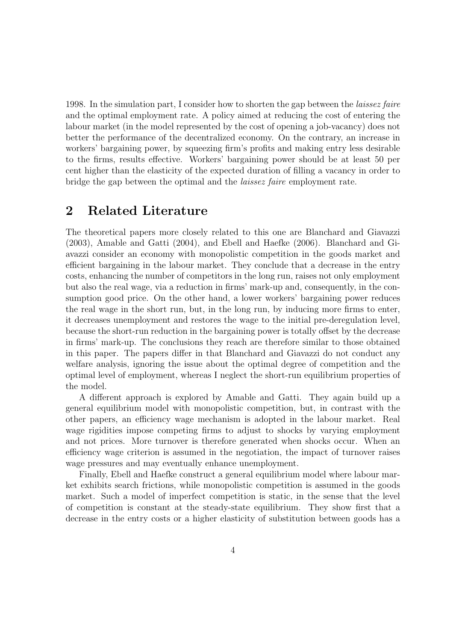1998. In the simulation part, I consider how to shorten the gap between the laissez faire and the optimal employment rate. A policy aimed at reducing the cost of entering the labour market (in the model represented by the cost of opening a job-vacancy) does not better the performance of the decentralized economy. On the contrary, an increase in workers' bargaining power, by squeezing firm's profits and making entry less desirable to the firms, results effective. Workers' bargaining power should be at least 50 per cent higher than the elasticity of the expected duration of filling a vacancy in order to bridge the gap between the optimal and the laissez faire employment rate.

# 2 Related Literature

The theoretical papers more closely related to this one are Blanchard and Giavazzi (2003), Amable and Gatti (2004), and Ebell and Haefke (2006). Blanchard and Giavazzi consider an economy with monopolistic competition in the goods market and efficient bargaining in the labour market. They conclude that a decrease in the entry costs, enhancing the number of competitors in the long run, raises not only employment but also the real wage, via a reduction in firms' mark-up and, consequently, in the consumption good price. On the other hand, a lower workers' bargaining power reduces the real wage in the short run, but, in the long run, by inducing more firms to enter, it decreases unemployment and restores the wage to the initial pre-deregulation level, because the short-run reduction in the bargaining power is totally offset by the decrease in firms' mark-up. The conclusions they reach are therefore similar to those obtained in this paper. The papers differ in that Blanchard and Giavazzi do not conduct any welfare analysis, ignoring the issue about the optimal degree of competition and the optimal level of employment, whereas I neglect the short-run equilibrium properties of the model.

A different approach is explored by Amable and Gatti. They again build up a general equilibrium model with monopolistic competition, but, in contrast with the other papers, an efficiency wage mechanism is adopted in the labour market. Real wage rigidities impose competing firms to adjust to shocks by varying employment and not prices. More turnover is therefore generated when shocks occur. When an efficiency wage criterion is assumed in the negotiation, the impact of turnover raises wage pressures and may eventually enhance unemployment.

Finally, Ebell and Haefke construct a general equilibrium model where labour market exhibits search frictions, while monopolistic competition is assumed in the goods market. Such a model of imperfect competition is static, in the sense that the level of competition is constant at the steady-state equilibrium. They show first that a decrease in the entry costs or a higher elasticity of substitution between goods has a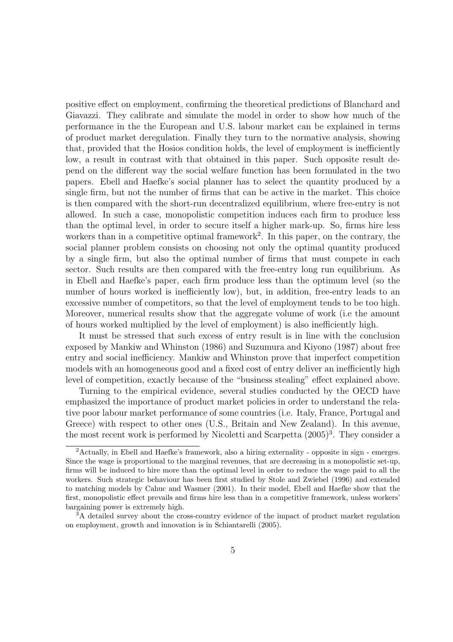positive effect on employment, confirming the theoretical predictions of Blanchard and Giavazzi. They calibrate and simulate the model in order to show how much of the performance in the the European and U.S. labour market can be explained in terms of product market deregulation. Finally they turn to the normative analysis, showing that, provided that the Hosios condition holds, the level of employment is inefficiently low, a result in contrast with that obtained in this paper. Such opposite result depend on the different way the social welfare function has been formulated in the two papers. Ebell and Haefke's social planner has to select the quantity produced by a single firm, but not the number of firms that can be active in the market. This choice is then compared with the short-run decentralized equilibrium, where free-entry is not allowed. In such a case, monopolistic competition induces each firm to produce less than the optimal level, in order to secure itself a higher mark-up. So, firms hire less workers than in a competitive optimal framework<sup>2</sup>. In this paper, on the contrary, the social planner problem consists on choosing not only the optimal quantity produced by a single firm, but also the optimal number of firms that must compete in each sector. Such results are then compared with the free-entry long run equilibrium. As in Ebell and Haefke's paper, each firm produce less than the optimum level (so the number of hours worked is inefficiently low), but, in addition, free-entry leads to an excessive number of competitors, so that the level of employment tends to be too high. Moreover, numerical results show that the aggregate volume of work (i.e the amount of hours worked multiplied by the level of employment) is also inefficiently high.

It must be stressed that such excess of entry result is in line with the conclusion exposed by Mankiw and Whinston (1986) and Suzumura and Kiyono (1987) about free entry and social inefficiency. Mankiw and Whinston prove that imperfect competition models with an homogeneous good and a fixed cost of entry deliver an inefficiently high level of competition, exactly because of the "business stealing" effect explained above.

Turning to the empirical evidence, several studies conducted by the OECD have emphasized the importance of product market policies in order to understand the relative poor labour market performance of some countries (i.e. Italy, France, Portugal and Greece) with respect to other ones (U.S., Britain and New Zealand). In this avenue, the most recent work is performed by Nicoletti and Scarpetta  $(2005)^3$ . They consider a

<sup>&</sup>lt;sup>2</sup>Actually, in Ebell and Haefke's framework, also a hiring externality - opposite in sign - emerges. Since the wage is proportional to the marginal revenues, that are decreasing in a monopolistic set-up, firms will be induced to hire more than the optimal level in order to reduce the wage paid to all the workers. Such strategic behaviour has been first studied by Stole and Zwiebel (1996) and extended to matching models by Cahuc and Wasmer (2001). In their model, Ebell and Haefke show that the first, monopolistic effect prevails and firms hire less than in a competitive framework, unless workers' bargaining power is extremely high.

<sup>&</sup>lt;sup>3</sup>A detailed survey about the cross-country evidence of the impact of product market regulation on employment, growth and innovation is in Schiantarelli (2005).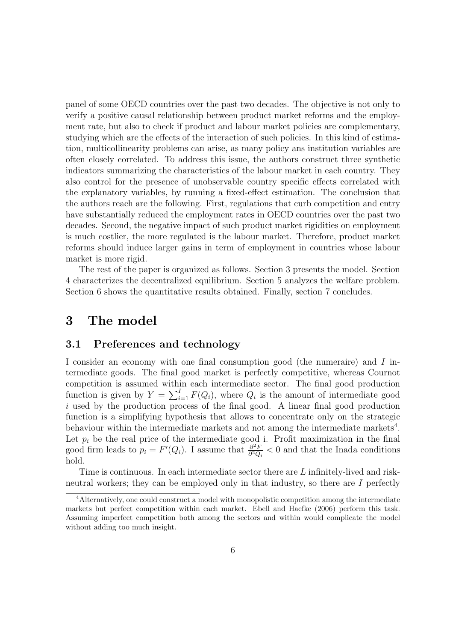panel of some OECD countries over the past two decades. The objective is not only to verify a positive causal relationship between product market reforms and the employment rate, but also to check if product and labour market policies are complementary, studying which are the effects of the interaction of such policies. In this kind of estimation, multicollinearity problems can arise, as many policy ans institution variables are often closely correlated. To address this issue, the authors construct three synthetic indicators summarizing the characteristics of the labour market in each country. They also control for the presence of unobservable country specific effects correlated with the explanatory variables, by running a fixed-effect estimation. The conclusion that the authors reach are the following. First, regulations that curb competition and entry have substantially reduced the employment rates in OECD countries over the past two decades. Second, the negative impact of such product market rigidities on employment is much costlier, the more regulated is the labour market. Therefore, product market reforms should induce larger gains in term of employment in countries whose labour market is more rigid.

The rest of the paper is organized as follows. Section 3 presents the model. Section 4 characterizes the decentralized equilibrium. Section 5 analyzes the welfare problem. Section 6 shows the quantitative results obtained. Finally, section 7 concludes.

### 3 The model

### 3.1 Preferences and technology

I consider an economy with one final consumption good (the numeraire) and I intermediate goods. The final good market is perfectly competitive, whereas Cournot competition is assumed within each intermediate sector. The final good production function is given by  $Y = \sum_{i=1}^{I} F(Q_i)$ , where  $Q_i$  is the amount of intermediate good i used by the production process of the final good. A linear final good production function is a simplifying hypothesis that allows to concentrate only on the strategic behaviour within the intermediate markets and not among the intermediate markets<sup>4</sup>. Let  $p_i$  be the real price of the intermediate good i. Profit maximization in the final good firm leads to  $p_i = F'(Q_i)$ . I assume that  $\frac{\partial^2 F}{\partial^2 Q}$  $\frac{\partial^2 F}{\partial^2 Q_i} < 0$  and that the Inada conditions hold.

Time is continuous. In each intermediate sector there are L infinitely-lived and riskneutral workers; they can be employed only in that industry, so there are I perfectly

<sup>&</sup>lt;sup>4</sup>Alternatively, one could construct a model with monopolistic competition among the intermediate markets but perfect competition within each market. Ebell and Haefke (2006) perform this task. Assuming imperfect competition both among the sectors and within would complicate the model without adding too much insight.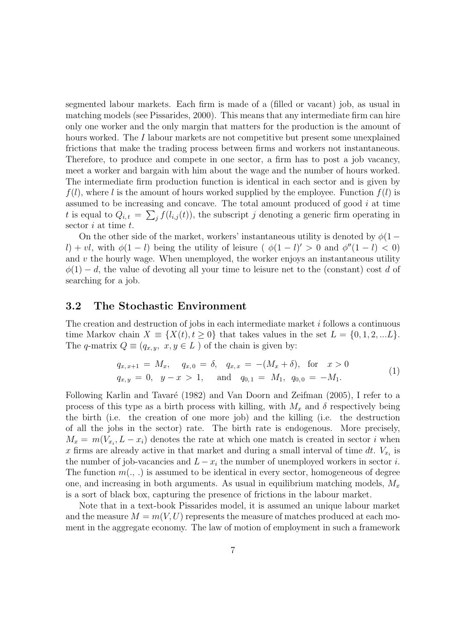segmented labour markets. Each firm is made of a (filled or vacant) job, as usual in matching models (see Pissarides, 2000). This means that any intermediate firm can hire only one worker and the only margin that matters for the production is the amount of hours worked. The I labour markets are not competitive but present some unexplained frictions that make the trading process between firms and workers not instantaneous. Therefore, to produce and compete in one sector, a firm has to post a job vacancy, meet a worker and bargain with him about the wage and the number of hours worked. The intermediate firm production function is identical in each sector and is given by  $f(l)$ , where l is the amount of hours worked supplied by the employee. Function  $f(l)$  is assumed to be increasing and concave. The total amount produced of good i at time t is equal to  $Q_{i,t} = \sum_j f(l_{i,j}(t))$ , the subscript j denoting a generic firm operating in sector  $i$  at time  $t$ .

On the other side of the market, workers' instantaneous utility is denoted by  $\phi(1$ l) + vl, with  $\phi(1-l)$  being the utility of leisure ( $\phi(1-l)' > 0$  and  $\phi''(1-l) < 0$ ) and  $v$  the hourly wage. When unemployed, the worker enjoys an instantaneous utility  $\phi(1) - d$ , the value of devoting all your time to leisure net to the (constant) cost d of searching for a job.

### 3.2 The Stochastic Environment

The creation and destruction of jobs in each intermediate market i follows a continuous time Markov chain  $X \equiv \{X(t), t \geq 0\}$  that takes values in the set  $L = \{0, 1, 2, ... L\}$ . The q-matrix  $Q \equiv (q_{x,y}, x, y \in L)$  of the chain is given by:

$$
q_{x,x+1} = M_x, \quad q_{x,0} = \delta, \quad q_{x,x} = -(M_x + \delta), \quad \text{for} \quad x > 0
$$
  
\n
$$
q_{x,y} = 0, \quad y - x > 1, \quad \text{and} \quad q_{0,1} = M_1, \quad q_{0,0} = -M_1.
$$
\n(1)

Following Karlin and Tavaré (1982) and Van Doorn and Zeifman (2005), I refer to a process of this type as a birth process with killing, with  $M_x$  and  $\delta$  respectively being the birth (i.e. the creation of one more job) and the killing (i.e. the destruction of all the jobs in the sector) rate. The birth rate is endogenous. More precisely,  $M_x = m(V_{x_i}, L - x_i)$  denotes the rate at which one match is created in sector i when x firms are already active in that market and during a small interval of time  $dt$ .  $V_{x_i}$  is the number of job-vacancies and  $L - x_i$  the number of unemployed workers in sector i. The function  $m(.,.)$  is assumed to be identical in every sector, homogeneous of degree one, and increasing in both arguments. As usual in equilibrium matching models,  $M_x$ is a sort of black box, capturing the presence of frictions in the labour market.

Note that in a text-book Pissarides model, it is assumed an unique labour market and the measure  $M = m(V, U)$  represents the measure of matches produced at each moment in the aggregate economy. The law of motion of employment in such a framework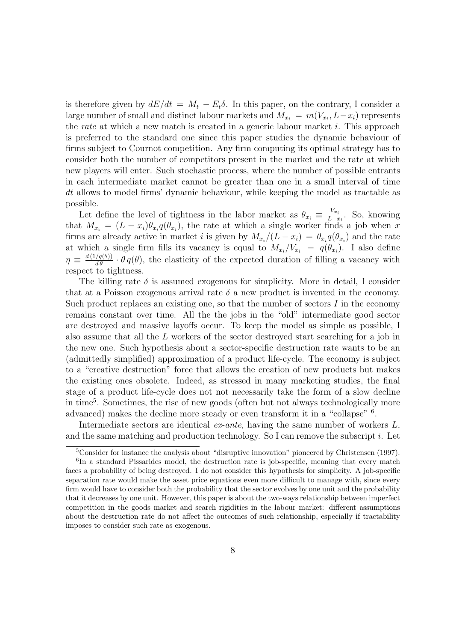is therefore given by  $dE/dt = M_t - E_t \delta$ . In this paper, on the contrary, I consider a large number of small and distinct labour markets and  $M_{x_i} = m(V_{x_i}, L-x_i)$  represents the rate at which a new match is created in a generic labour market  $i$ . This approach is preferred to the standard one since this paper studies the dynamic behaviour of firms subject to Cournot competition. Any firm computing its optimal strategy has to consider both the number of competitors present in the market and the rate at which new players will enter. Such stochastic process, where the number of possible entrants in each intermediate market cannot be greater than one in a small interval of time dt allows to model firms' dynamic behaviour, while keeping the model as tractable as possible.

Let define the level of tightness in the labor market as  $\theta_{x_i} \equiv \frac{V_{x_i}}{L-x_i}$  $\frac{v_{x_i}}{L-x_i}$ . So, knowing that  $M_{x_i} = (L - x_i)\theta_{x_i}q(\theta_{x_i})$ , the rate at which a single worker finds a job when x firms are already active in market *i* is given by  $M_{x_i}/(L-x_i) = \theta_{x_i}q(\theta_{x_i})$  and the rate at which a single firm fills its vacancy is equal to  $M_{x_i}/V_{x_i} = q(\theta_{x_i})$ . I also define  $\eta \equiv \frac{d(1/q(\theta))}{d\theta} \cdot \theta q(\theta)$ , the elasticity of the expected duration of filling a vacancy with respect to tightness.

The killing rate  $\delta$  is assumed exogenous for simplicity. More in detail, I consider that at a Poisson exogenous arrival rate  $\delta$  a new product is invented in the economy. Such product replaces an existing one, so that the number of sectors  $I$  in the economy remains constant over time. All the the jobs in the "old" intermediate good sector are destroyed and massive layoffs occur. To keep the model as simple as possible, I also assume that all the L workers of the sector destroyed start searching for a job in the new one. Such hypothesis about a sector-specific destruction rate wants to be an (admittedly simplified) approximation of a product life-cycle. The economy is subject to a "creative destruction" force that allows the creation of new products but makes the existing ones obsolete. Indeed, as stressed in many marketing studies, the final stage of a product life-cycle does not not necessarily take the form of a slow decline in time<sup>5</sup> . Sometimes, the rise of new goods (often but not always technologically more advanced) makes the decline more steady or even transform it in a "collapse" <sup>6</sup>.

Intermediate sectors are identical  $ex\text{-}ante$ , having the same number of workers  $L$ , and the same matching and production technology. So I can remove the subscript  $i$ . Let

<sup>&</sup>lt;sup>5</sup>Consider for instance the analysis about "disruptive innovation" pioneered by Christensen (1997).

<sup>&</sup>lt;sup>6</sup>In a standard Pissarides model, the destruction rate is job-specific, meaning that every match faces a probability of being destroyed. I do not consider this hypothesis for simplicity. A job-specific separation rate would make the asset price equations even more difficult to manage with, since every firm would have to consider both the probability that the sector evolves by one unit and the probability that it decreases by one unit. However, this paper is about the two-ways relationship between imperfect competition in the goods market and search rigidities in the labour market: different assumptions about the destruction rate do not affect the outcomes of such relationship, especially if tractability imposes to consider such rate as exogenous.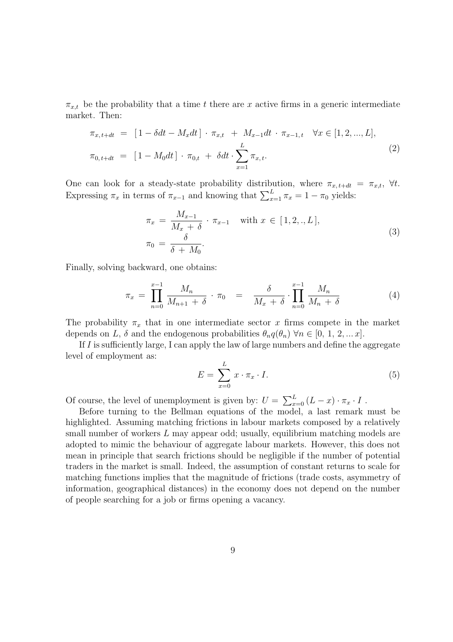$\pi_{x,t}$  be the probability that a time t there are x active firms in a generic intermediate market. Then:

$$
\pi_{x,t+dt} = [1 - \delta dt - M_x dt] \cdot \pi_{x,t} + M_{x-1} dt \cdot \pi_{x-1,t} \quad \forall x \in [1, 2, ..., L],
$$
  

$$
\pi_{0,t+dt} = [1 - M_0 dt] \cdot \pi_{0,t} + \delta dt \cdot \sum_{x=1}^{L} \pi_{x,t}.
$$
 (2)

One can look for a steady-state probability distribution, where  $\pi_{x, t+dt} = \pi_{x,t}$ ,  $\forall t$ . Expressing  $\pi_x$  in terms of  $\pi_{x-1}$  and knowing that  $\sum_{x=1}^{L} \pi_x = 1 - \pi_0$  yields:

$$
\pi_x = \frac{M_{x-1}}{M_x + \delta} \cdot \pi_{x-1} \quad \text{with } x \in [1, 2, \dots, L],
$$
  

$$
\pi_0 = \frac{\delta}{\delta + M_0}.
$$
 (3)

Finally, solving backward, one obtains:

$$
\pi_x = \prod_{n=0}^{x-1} \frac{M_n}{M_{n+1} + \delta} \cdot \pi_0 = \frac{\delta}{M_x + \delta} \cdot \prod_{n=0}^{x-1} \frac{M_n}{M_n + \delta} \tag{4}
$$

The probability  $\pi_x$  that in one intermediate sector x firms compete in the market depends on L,  $\delta$  and the endogenous probabilities  $\theta_n q(\theta_n)$   $\forall n \in [0, 1, 2, ... x]$ .

If  $I$  is sufficiently large, I can apply the law of large numbers and define the aggregate level of employment as:

$$
E = \sum_{x=0}^{L} x \cdot \pi_x \cdot I. \tag{5}
$$

Of course, the level of unemployment is given by:  $U = \sum_{x=0}^{L} (L-x) \cdot \pi_x \cdot I$ .

Before turning to the Bellman equations of the model, a last remark must be highlighted. Assuming matching frictions in labour markets composed by a relatively small number of workers L may appear odd; usually, equilibrium matching models are adopted to mimic the behaviour of aggregate labour markets. However, this does not mean in principle that search frictions should be negligible if the number of potential traders in the market is small. Indeed, the assumption of constant returns to scale for matching functions implies that the magnitude of frictions (trade costs, asymmetry of information, geographical distances) in the economy does not depend on the number of people searching for a job or firms opening a vacancy.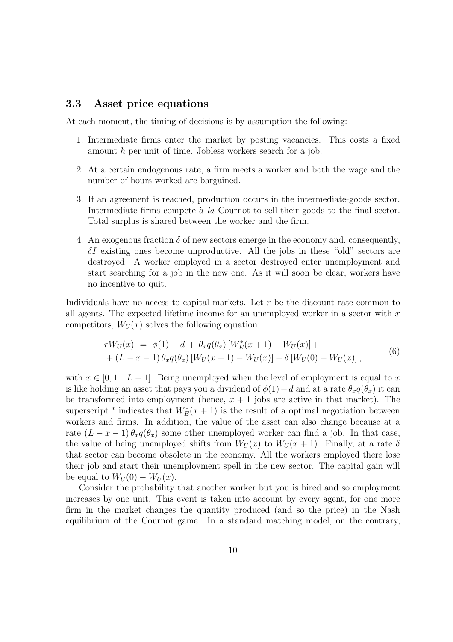### 3.3 Asset price equations

At each moment, the timing of decisions is by assumption the following:

- 1. Intermediate firms enter the market by posting vacancies. This costs a fixed amount h per unit of time. Jobless workers search for a job.
- 2. At a certain endogenous rate, a firm meets a worker and both the wage and the number of hours worked are bargained.
- 3. If an agreement is reached, production occurs in the intermediate-goods sector. Intermediate firms compete  $\alpha$  la Cournot to sell their goods to the final sector. Total surplus is shared between the worker and the firm.
- 4. An exogenous fraction  $\delta$  of new sectors emerge in the economy and, consequently,  $\delta I$  existing ones become unproductive. All the jobs in these "old" sectors are destroyed. A worker employed in a sector destroyed enter unemployment and start searching for a job in the new one. As it will soon be clear, workers have no incentive to quit.

Individuals have no access to capital markets. Let r be the discount rate common to all agents. The expected lifetime income for an unemployed worker in a sector with  $x$ competitors,  $W_U(x)$  solves the following equation:

$$
rW_U(x) = \phi(1) - d + \theta_x q(\theta_x) [W_E^*(x+1) - W_U(x)] ++ (L - x - 1) \theta_x q(\theta_x) [W_U(x+1) - W_U(x)] + \delta [W_U(0) - W_U(x)],
$$
\n(6)

with  $x \in [0, 1, L-1]$ . Being unemployed when the level of employment is equal to x is like holding an asset that pays you a dividend of  $\phi(1)-d$  and at a rate  $\theta_x q(\theta_x)$  it can be transformed into employment (hence,  $x + 1$  jobs are active in that market). The superscript <sup>\*</sup> indicates that  $W_E^*(x+1)$  is the result of a optimal negotiation between workers and firms. In addition, the value of the asset can also change because at a rate  $(L - x - 1) \theta_x q(\theta_x)$  some other unemployed worker can find a job. In that case, the value of being unemployed shifts from  $W_U(x)$  to  $W_U(x + 1)$ . Finally, at a rate  $\delta$ that sector can become obsolete in the economy. All the workers employed there lose their job and start their unemployment spell in the new sector. The capital gain will be equal to  $W_U(0) - W_U(x)$ .

Consider the probability that another worker but you is hired and so employment increases by one unit. This event is taken into account by every agent, for one more firm in the market changes the quantity produced (and so the price) in the Nash equilibrium of the Cournot game. In a standard matching model, on the contrary,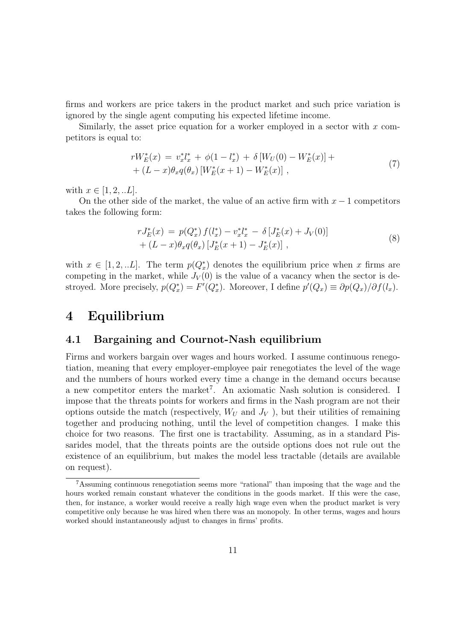firms and workers are price takers in the product market and such price variation is ignored by the single agent computing his expected lifetime income.

Similarly, the asset price equation for a worker employed in a sector with  $x$  competitors is equal to:

$$
rW_E^*(x) = v_x^* l_x^* + \phi(1 - l_x^*) + \delta[W_U(0) - W_E^*(x)] + (L - x)\theta_x q(\theta_x) [W_E^*(x + 1) - W_E^*(x)],
$$
\n
$$
(7)
$$

with  $x \in [1, 2, ...L]$ .

On the other side of the market, the value of an active firm with  $x - 1$  competitors takes the following form:

$$
rJ_{E}^{*}(x) = p(Q_{x}^{*}) f(l_{x}^{*}) - v_{x}^{*} l_{x}^{*} - \delta [J_{E}^{*}(x) + J_{V}(0)] + (L - x) \theta_{x} q(\theta_{x}) [J_{E}^{*}(x+1) - J_{E}^{*}(x)],
$$
\n(8)

with  $x \in [1, 2, ...L]$ . The term  $p(Q_x^*)$  denotes the equilibrium price when x firms are competing in the market, while  $J_V(0)$  is the value of a vacancy when the sector is destroyed. More precisely,  $p(Q_x^*) = F'(Q_x^*)$ . Moreover, I define  $p'(Q_x) \equiv \partial p(Q_x)/\partial f(l_x)$ .

### 4 Equilibrium

### 4.1 Bargaining and Cournot-Nash equilibrium

Firms and workers bargain over wages and hours worked. I assume continuous renegotiation, meaning that every employer-employee pair renegotiates the level of the wage and the numbers of hours worked every time a change in the demand occurs because a new competitor enters the market<sup>7</sup>. An axiomatic Nash solution is considered. I impose that the threats points for workers and firms in the Nash program are not their options outside the match (respectively,  $W_U$  and  $J_V$ ), but their utilities of remaining together and producing nothing, until the level of competition changes. I make this choice for two reasons. The first one is tractability. Assuming, as in a standard Pissarides model, that the threats points are the outside options does not rule out the existence of an equilibrium, but makes the model less tractable (details are available on request).

<sup>7</sup>Assuming continuous renegotiation seems more "rational" than imposing that the wage and the hours worked remain constant whatever the conditions in the goods market. If this were the case, then, for instance, a worker would receive a really high wage even when the product market is very competitive only because he was hired when there was an monopoly. In other terms, wages and hours worked should instantaneously adjust to changes in firms' profits.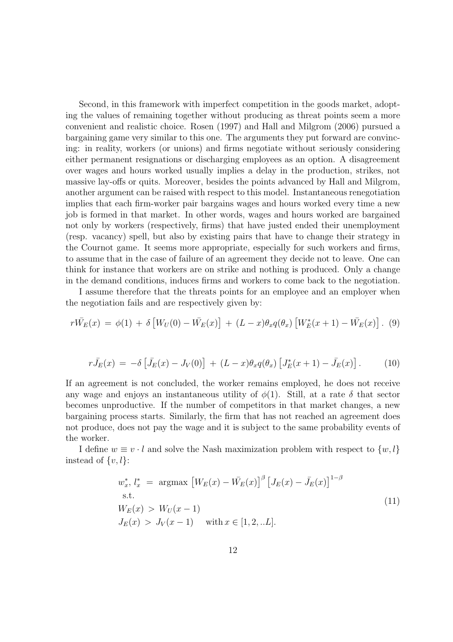Second, in this framework with imperfect competition in the goods market, adopting the values of remaining together without producing as threat points seem a more convenient and realistic choice. Rosen (1997) and Hall and Milgrom (2006) pursued a bargaining game very similar to this one. The arguments they put forward are convincing: in reality, workers (or unions) and firms negotiate without seriously considering either permanent resignations or discharging employees as an option. A disagreement over wages and hours worked usually implies a delay in the production, strikes, not massive lay-offs or quits. Moreover, besides the points advanced by Hall and Milgrom, another argument can be raised with respect to this model. Instantaneous renegotiation implies that each firm-worker pair bargains wages and hours worked every time a new job is formed in that market. In other words, wages and hours worked are bargained not only by workers (respectively, firms) that have justed ended their unemployment (resp. vacancy) spell, but also by existing pairs that have to change their strategy in the Cournot game. It seems more appropriate, especially for such workers and firms, to assume that in the case of failure of an agreement they decide not to leave. One can think for instance that workers are on strike and nothing is produced. Only a change in the demand conditions, induces firms and workers to come back to the negotiation.

I assume therefore that the threats points for an employee and an employer when the negotiation fails and are respectively given by:

$$
r\bar{W_E}(x) = \phi(1) + \delta \left[ W_U(0) - \bar{W_E}(x) \right] + (L-x)\theta_x q(\theta_x) \left[ W_E^*(x+1) - \bar{W_E}(x) \right].
$$
 (9)

$$
r\bar{J}_E(x) = -\delta \left[ \bar{J}_E(x) - J_V(0) \right] + (L - x)\theta_x q(\theta_x) \left[ J_E^*(x+1) - \bar{J}_E(x) \right]. \tag{10}
$$

If an agreement is not concluded, the worker remains employed, he does not receive any wage and enjoys an instantaneous utility of  $\phi(1)$ . Still, at a rate  $\delta$  that sector becomes unproductive. If the number of competitors in that market changes, a new bargaining process starts. Similarly, the firm that has not reached an agreement does not produce, does not pay the wage and it is subject to the same probability events of the worker.

I define  $w \equiv v \cdot l$  and solve the Nash maximization problem with respect to  $\{w, l\}$ instead of  $\{v, l\}$ :

$$
w_x^*, l_x^* = \underset{S.t.}{\text{argmax}} \left[ W_E(x) - \bar{W}_E(x) \right]^{\beta} \left[ J_E(x) - \bar{J}_E(x) \right]^{1-\beta}
$$
  
s.t. 
$$
W_E(x) > W_U(x-1)
$$

$$
J_E(x) > J_V(x-1) \quad \text{with } x \in [1, 2, ...L].
$$
 (11)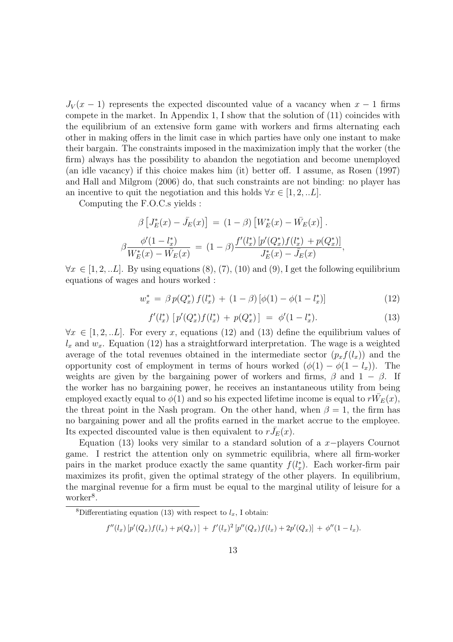$J_V(x-1)$  represents the expected discounted value of a vacancy when  $x-1$  firms compete in the market. In Appendix 1, I show that the solution of (11) coincides with the equilibrium of an extensive form game with workers and firms alternating each other in making offers in the limit case in which parties have only one instant to make their bargain. The constraints imposed in the maximization imply that the worker (the firm) always has the possibility to abandon the negotiation and become unemployed (an idle vacancy) if this choice makes him (it) better off. I assume, as Rosen (1997) and Hall and Milgrom (2006) do, that such constraints are not binding: no player has an incentive to quit the negotiation and this holds  $\forall x \in [1, 2, ...L]$ .

Computing the F.O.C.s yields :

$$
\beta \left[ J_E^*(x) - \bar{J}_E(x) \right] = (1 - \beta) \left[ W_E^*(x) - \bar{W}_E(x) \right].
$$
  

$$
\beta \frac{\phi'(1 - l_x^*)}{W_E^*(x) - \bar{W}_E(x)} = (1 - \beta) \frac{f'(l_x^*) \left[ p'(Q_x^*) f(l_x^*) + p(Q_x^*) \right]}{J_E^*(x) - \bar{J}_E(x)},
$$

 $\forall x \in [1, 2, ...L]$ . By using equations  $(8), (7), (10)$  and  $(9),$  I get the following equilibrium equations of wages and hours worked :

$$
w_x^* = \beta p(Q_x^*) f(l_x^*) + (1 - \beta) [\phi(1) - \phi(1 - l_x^*)]
$$
\n(12)

$$
f'(l_x^*) \left[ p'(Q_x^*) f(l_x^*) + p(Q_x^*) \right] = \phi'(1 - l_x^*). \tag{13}
$$

 $\forall x \in [1, 2, ...L]$ . For every x, equations (12) and (13) define the equilibrium values of  $l_x$  and  $w_x$ . Equation (12) has a straightforward interpretation. The wage is a weighted average of the total revenues obtained in the intermediate sector  $(p_x f(l_x))$  and the opportunity cost of employment in terms of hours worked  $(\phi(1) - \phi(1 - l_x))$ . The weights are given by the bargaining power of workers and firms,  $\beta$  and  $1 - \beta$ . If the worker has no bargaining power, he receives an instantaneous utility from being employed exactly equal to  $\phi(1)$  and so his expected lifetime income is equal to  $r\bar{W_E}(x)$ , the threat point in the Nash program. On the other hand, when  $\beta = 1$ , the firm has no bargaining power and all the profits earned in the market accrue to the employee. Its expected discounted value is then equivalent to  $r\bar{J}_E(x)$ .

Equation (13) looks very similar to a standard solution of a x−players Cournot game. I restrict the attention only on symmetric equilibria, where all firm-worker pairs in the market produce exactly the same quantity  $f(l_x^*)$ . Each worker-firm pair maximizes its profit, given the optimal strategy of the other players. In equilibrium, the marginal revenue for a firm must be equal to the marginal utility of leisure for a worker<sup>8</sup>.

$$
f''(l_x) [p'(Q_x) f(l_x) + p(Q_x)] + f'(l_x)^2 [p''(Q_x) f(l_x) + 2p'(Q_x)] + \phi''(1 - l_x).
$$

<sup>&</sup>lt;sup>8</sup>Differentiating equation (13) with respect to  $l_x$ , I obtain: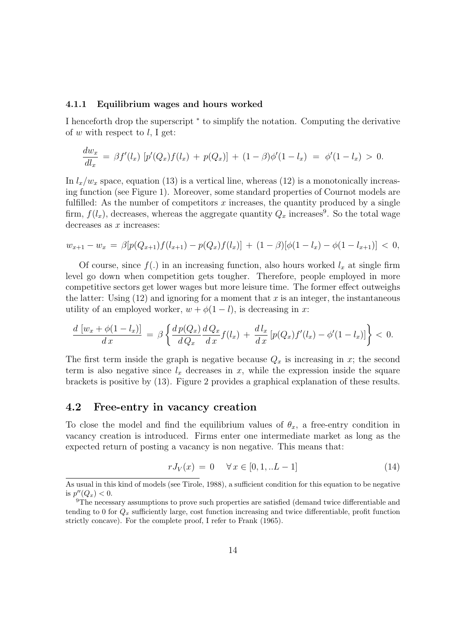#### 4.1.1 Equilibrium wages and hours worked

I henceforth drop the superscript  $*$  to simplify the notation. Computing the derivative of w with respect to  $l$ , I get:

$$
\frac{dw_x}{dl_x} = \beta f'(l_x) \left[ p'(Q_x) f(l_x) + p(Q_x) \right] + (1 - \beta) \phi'(1 - l_x) = \phi'(1 - l_x) > 0.
$$

In  $l_x/w_x$  space, equation (13) is a vertical line, whereas (12) is a monotonically increasing function (see Figure 1). Moreover, some standard properties of Cournot models are fulfilled: As the number of competitors  $x$  increases, the quantity produced by a single firm,  $f(l_x)$ , decreases, whereas the aggregate quantity  $Q_x$  increases<sup>9</sup>. So the total wage decreases as  $x$  increases:

$$
w_{x+1} - w_x = \beta [p(Q_{x+1}) f(l_{x+1}) - p(Q_x) f(l_x)] + (1 - \beta) [\phi(1 - l_x) - \phi(1 - l_{x+1})] < 0,
$$

Of course, since  $f(.)$  in an increasing function, also hours worked  $l_x$  at single firm level go down when competition gets tougher. Therefore, people employed in more competitive sectors get lower wages but more leisure time. The former effect outweighs the latter: Using  $(12)$  and ignoring for a moment that x is an integer, the instantaneous utility of an employed worker,  $w + \phi(1 - l)$ , is decreasing in x:

$$
\frac{d\left[w_x + \phi(1 - l_x)\right]}{dx} = \beta \left\{ \frac{dp(Q_x)}{dQ_x} \frac{dQ_x}{dx} f(l_x) + \frac{dl_x}{dx} \left[ p(Q_x) f'(l_x) - \phi'(1 - l_x) \right] \right\} < 0.
$$

The first term inside the graph is negative because  $Q_x$  is increasing in x; the second term is also negative since  $l_x$  decreases in  $x$ , while the expression inside the square brackets is positive by (13). Figure 2 provides a graphical explanation of these results.

#### 4.2 Free-entry in vacancy creation

To close the model and find the equilibrium values of  $\theta_x$ , a free-entry condition in vacancy creation is introduced. Firms enter one intermediate market as long as the expected return of posting a vacancy is non negative. This means that:

$$
rJ_V(x) = 0 \quad \forall x \in [0, 1, ...L - 1]
$$
\n(14)

As usual in this kind of models (see Tirole, 1988), a sufficient condition for this equation to be negative is  $p''(Q_x) < 0$ .

<sup>9</sup>The necessary assumptions to prove such properties are satisfied (demand twice differentiable and tending to 0 for  $Q_x$  sufficiently large, cost function increasing and twice differentiable, profit function strictly concave). For the complete proof, I refer to Frank (1965).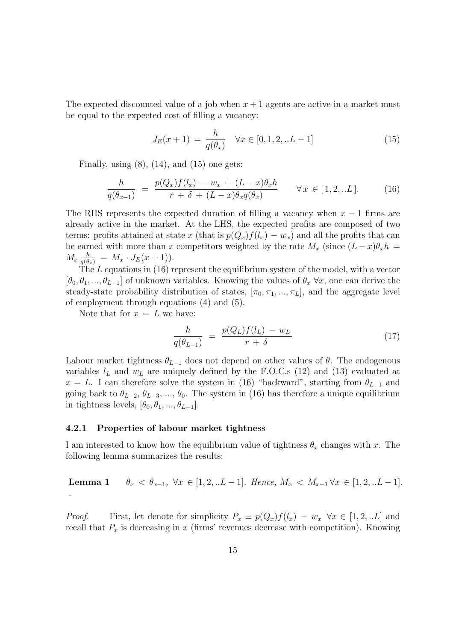The expected discounted value of a job when  $x + 1$  agents are active in a market must be equal to the expected cost of filling a vacancy:

$$
J_E(x+1) = \frac{h}{q(\theta_x)} \quad \forall x \in [0, 1, 2, \dots L-1]
$$
 (15)

Finally, using  $(8)$ ,  $(14)$ , and  $(15)$  one gets:

$$
\frac{h}{q(\theta_{x-1})} = \frac{p(Q_x)f(l_x) - w_x + (L-x)\theta_x h}{r + \delta + (L-x)\theta_x q(\theta_x)} \qquad \forall x \in [1, 2, ...L].
$$
 (16)

The RHS represents the expected duration of filling a vacancy when  $x - 1$  firms are already active in the market. At the LHS, the expected profits are composed of two terms: profits attained at state x (that is  $p(Q_x)f(l_x) - w_x$ ) and all the profits that can be earned with more than x competitors weighted by the rate  $M_x$  (since  $(L-x)\theta_x h =$  $M_x \frac{h}{q(\theta_x)} = M_x \cdot J_E(x+1)$ .

The L equations in (16) represent the equilibrium system of the model, with a vector  $[\theta_0, \theta_1, ..., \theta_{L-1}]$  of unknown variables. Knowing the values of  $\theta_x \,\forall x$ , one can derive the steady-state probability distribution of states,  $[\pi_0, \pi_1, ..., \pi_L]$ , and the aggregate level of employment through equations (4) and (5).

Note that for  $x = L$  we have:

$$
\frac{h}{q(\theta_{L-1})} = \frac{p(Q_L)f(l_L) - w_L}{r + \delta} \tag{17}
$$

Labour market tightness  $\theta_{L-1}$  does not depend on other values of  $\theta$ . The endogenous variables  $l_L$  and  $w_L$  are uniquely defined by the F.O.C.s (12) and (13) evaluated at  $x = L$ . I can therefore solve the system in (16) "backward", starting from  $\theta_{L-1}$  and going back to  $\theta_{L-2}, \theta_{L-3}, ..., \theta_0$ . The system in (16) has therefore a unique equilibrium in tightness levels,  $[\theta_0, \theta_1, ..., \theta_{L-1}].$ 

#### 4.2.1 Properties of labour market tightness

I am interested to know how the equilibrium value of tightness  $\theta_x$  changes with x. The following lemma summarizes the results:

Lemma 1  $\theta_x < \theta_{x-1}$ ,  $\forall x \in [1, 2, ... L-1]$ . Hence,  $M_x < M_{x-1} \forall x \in [1, 2, ... L-1]$ . .

*Proof.* First, let denote for simplicity  $P_x \equiv p(Q_x)f(l_x) - w_x \ \forall x \in [1, 2, ...L]$  and recall that  $P_x$  is decreasing in x (firms' revenues decrease with competition). Knowing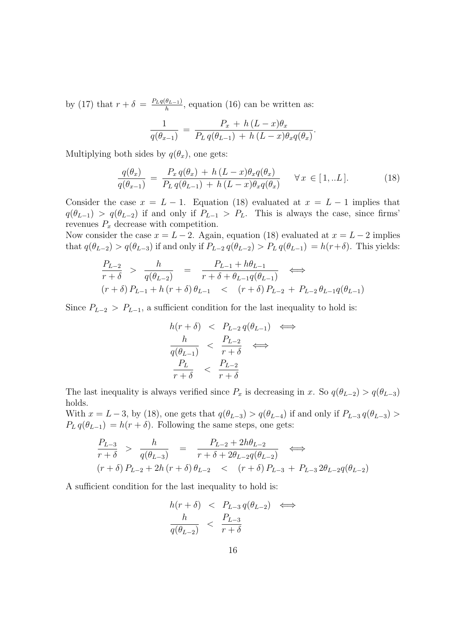by (17) that  $r + \delta = \frac{P_L q(\theta_{L-1})}{h}$  $\frac{\theta_{L-1}}{h}$ , equation (16) can be written as:

$$
\frac{1}{q(\theta_{x-1})} = \frac{P_x + h(L-x)\theta_x}{P_L q(\theta_{L-1}) + h(L-x)\theta_x q(\theta_x)}.
$$

Multiplying both sides by  $q(\theta_x)$ , one gets:

$$
\frac{q(\theta_x)}{q(\theta_{x-1})} = \frac{P_x q(\theta_x) + h(L-x) \theta_x q(\theta_x)}{P_L q(\theta_{L-1}) + h(L-x) \theta_x q(\theta_x)} \quad \forall x \in [1,..L].
$$
\n(18)

Consider the case  $x = L - 1$ . Equation (18) evaluated at  $x = L - 1$  implies that  $q(\theta_{L-1}) > q(\theta_{L-2})$  if and only if  $P_{L-1} > P_L$ . This is always the case, since firms' revenues  $P_x$  decrease with competition.

Now consider the case  $x = L - 2$ . Again, equation (18) evaluated at  $x = L - 2$  implies that  $q(\theta_{L-2}) > q(\theta_{L-3})$  if and only if  $P_{L-2} q(\theta_{L-2}) > P_L q(\theta_{L-1}) = h(r+\delta)$ . This yields:

$$
\frac{P_{L-2}}{r+\delta} > \frac{h}{q(\theta_{L-2})} = \frac{P_{L-1} + h\theta_{L-1}}{r+\delta + \theta_{L-1}q(\theta_{L-1})} \iff
$$
\n
$$
(r+\delta)P_{L-1} + h(r+\delta)\theta_{L-1} < (r+\delta)P_{L-2} + P_{L-2}\theta_{L-1}q(\theta_{L-1})
$$

Since  $P_{L-2} > P_{L-1}$ , a sufficient condition for the last inequality to hold is:

$$
h(r+\delta) < P_{L-2} q(\theta_{L-1}) \iff
$$
\n
$$
\frac{h}{q(\theta_{L-1})} < \frac{P_{L-2}}{r+\delta} \iff
$$
\n
$$
\frac{P_L}{r+\delta} < \frac{P_{L-2}}{r+\delta}
$$

The last inequality is always verified since  $P_x$  is decreasing in x. So  $q(\theta_{L-2}) > q(\theta_{L-3})$ holds.

With  $x = L - 3$ , by (18), one gets that  $q(\theta_{L-3}) > q(\theta_{L-4})$  if and only if  $P_{L-3} q(\theta_{L-3}) >$  $P_L q(\theta_{L-1}) = h(r + \delta)$ . Following the same steps, one gets:

$$
\frac{P_{L-3}}{r+\delta} > \frac{h}{q(\theta_{L-3})} = \frac{P_{L-2} + 2h\theta_{L-2}}{r+\delta + 2\theta_{L-2}q(\theta_{L-2})} \iff
$$
\n
$$
(r+\delta) P_{L-2} + 2h(r+\delta) \theta_{L-2} < (r+\delta) P_{L-3} + P_{L-3} 2\theta_{L-2}q(\theta_{L-2})
$$

A sufficient condition for the last inequality to hold is:

$$
h(r+\delta) < P_{L-3} q(\theta_{L-2}) \iff
$$
\n
$$
\frac{h}{q(\theta_{L-2})} < \frac{P_{L-3}}{r+\delta}
$$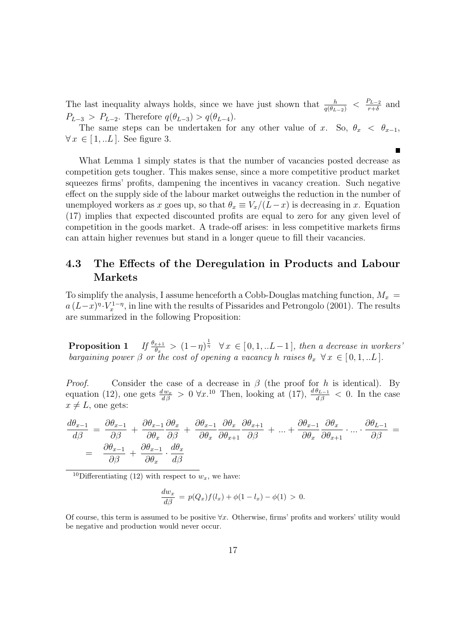The last inequality always holds, since we have just shown that  $\frac{h}{q(\theta_{L-2})} < \frac{P_{L-2}}{r+\delta}$  $\frac{r_{L-2}}{r+\delta}$  and  $P_{L-3} > P_{L-2}$ . Therefore  $q(\theta_{L-3}) > q(\theta_{L-4})$ .

The same steps can be undertaken for any other value of x. So,  $\theta_x < \theta_{x-1}$ ,  $\forall x \in [1, ...L]$ . See figure 3.

What Lemma 1 simply states is that the number of vacancies posted decrease as competition gets tougher. This makes sense, since a more competitive product market squeezes firms' profits, dampening the incentives in vacancy creation. Such negative effect on the supply side of the labour market outweighs the reduction in the number of unemployed workers as x goes up, so that  $\theta_x \equiv V_x/(L-x)$  is decreasing in x. Equation (17) implies that expected discounted profits are equal to zero for any given level of competition in the goods market. A trade-off arises: in less competitive markets firms can attain higher revenues but stand in a longer queue to fill their vacancies.

### 4.3 The Effects of the Deregulation in Products and Labour Markets

To simplify the analysis, I assume henceforth a Cobb-Douglas matching function,  $M_x$  =  $a (L-x)^{n} \cdot V_x^{1-\eta}$ , in line with the results of Pissarides and Petrongolo (2001). The results are summarized in the following Proposition:

**Proposition 1** If  $\frac{\theta_{x+1}}{\theta_x} > (1-\eta)^{\frac{1}{\eta}} \quad \forall x \in [0,1,...L-1]$ , then a decrease in workers' bargaining power  $\beta$  or the cost of opening a vacancy h raises  $\theta_x \ \forall x \in [0,1,...L]$ .

*Proof.* Consider the case of a decrease in  $\beta$  (the proof for h is identical). By equation (12), one gets  $\frac{dw_x}{d\beta} > 0 \,\forall x$ .<sup>10</sup> Then, looking at (17),  $\frac{d\theta_{L-1}}{d\beta} < 0$ . In the case  $x \neq L$ , one gets:

$$
\frac{d\theta_{x-1}}{d\beta} = \frac{\partial \theta_{x-1}}{\partial \beta} + \frac{\partial \theta_{x-1}}{\partial \theta_x} \frac{\partial \theta_x}{\partial \beta} + \frac{\partial \theta_{x-1}}{\partial \theta_x} \frac{\partial \theta_x}{\partial \theta_{x+1}} \frac{\partial \theta_{x-1}}{\partial \beta} + \dots + \frac{\partial \theta_{x-1}}{\partial \theta_x} \frac{\partial \theta_x}{\partial \theta_{x+1}} \cdot \dots \cdot \frac{\partial \theta_{L-1}}{\partial \beta} =
$$
\n
$$
= \frac{\partial \theta_{x-1}}{\partial \beta} + \frac{\partial \theta_{x-1}}{\partial \theta_x} \cdot \frac{d\theta_x}{d\beta}
$$

<sup>10</sup>Differentiating (12) with respect to  $w<sub>x</sub>$ , we have:

$$
\frac{dw_x}{d\beta} = p(Q_x)f(l_x) + \phi(1 - l_x) - \phi(1) > 0.
$$

Of course, this term is assumed to be positive  $\forall x$ . Otherwise, firms' profits and workers' utility would be negative and production would never occur.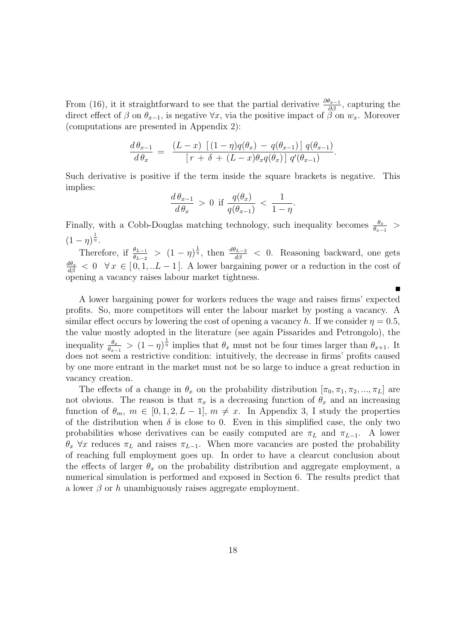From (16), it it straightforward to see that the partial derivative  $\frac{\partial \theta_{x-1}}{\partial \beta}$ , capturing the direct effect of  $\beta$  on  $\theta_{x-1}$ , is negative  $\forall x$ , via the positive impact of  $\beta$  on  $w_x$ . Moreover (computations are presented in Appendix 2):

$$
\frac{d\,\theta_{x-1}}{d\,\theta_x} = \frac{(L-x)\left[ (1-\eta)q(\theta_x) - q(\theta_{x-1}) \right] q(\theta_{x-1})}{\left[ r + \delta + (L-x)\theta_x q(\theta_x) \right] q'(\theta_{x-1})}.
$$

Such derivative is positive if the term inside the square brackets is negative. This implies:

$$
\frac{d\,\theta_{x-1}}{d\,\theta_x} > 0 \quad \text{if } \frac{q(\theta_x)}{q(\theta_{x-1})} < \frac{1}{1-\eta}.
$$

Finally, with a Cobb-Douglas matching technology, such inequality becomes  $\frac{\theta_x}{\theta_{x-1}}$  >  $(1-\eta)^{\frac{1}{\eta}}$ .

Therefore, if  $\frac{\theta_{L-1}}{\theta_{L-2}} > (1-\eta)^{\frac{1}{\eta}}$ , then  $\frac{d\theta_{L-2}}{d\beta} < 0$ . Reasoning backward, one gets  $\frac{d\theta_x}{d\beta}$  < 0  $\forall x \in [0, 1, ...L-1]$ . A lower bargaining power or a reduction in the cost of opening a vacancy raises labour market tightness.

A lower bargaining power for workers reduces the wage and raises firms' expected profits. So, more competitors will enter the labour market by posting a vacancy. A similar effect occurs by lowering the cost of opening a vacancy h. If we consider  $\eta = 0.5$ , the value mostly adopted in the literature (see again Pissarides and Petrongolo), the inequality  $\frac{\theta_x}{\theta_{x-1}} > (1-\eta)^{\frac{1}{\eta}}$  implies that  $\theta_x$  must not be four times larger than  $\theta_{x+1}$ . It does not seem a restrictive condition: intuitively, the decrease in firms' profits caused by one more entrant in the market must not be so large to induce a great reduction in vacancy creation.

The effects of a change in  $\theta_x$  on the probability distribution  $[\pi_0, \pi_1, \pi_2, ..., \pi_L]$  are not obvious. The reason is that  $\pi_x$  is a decreasing function of  $\theta_x$  and an increasing function of  $\theta_m$ ,  $m \in [0, 1, 2, L - 1]$ ,  $m \neq x$ . In Appendix 3, I study the properties of the distribution when  $\delta$  is close to 0. Even in this simplified case, the only two probabilities whose derivatives can be easily computed are  $\pi_L$  and  $\pi_{L-1}$ . A lower  $\theta_x$   $\forall x$  reduces  $\pi_L$  and raises  $\pi_{L-1}$ . When more vacancies are posted the probability of reaching full employment goes up. In order to have a clearcut conclusion about the effects of larger  $\theta_x$  on the probability distribution and aggregate employment, a numerical simulation is performed and exposed in Section 6. The results predict that a lower  $\beta$  or h unambiguously raises aggregate employment.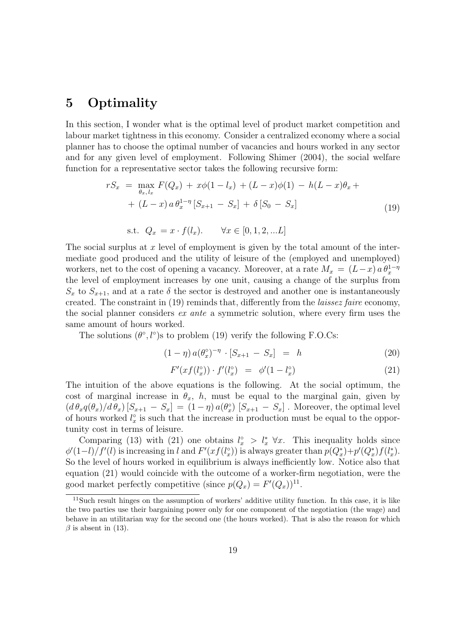# 5 Optimality

In this section, I wonder what is the optimal level of product market competition and labour market tightness in this economy. Consider a centralized economy where a social planner has to choose the optimal number of vacancies and hours worked in any sector and for any given level of employment. Following Shimer (2004), the social welfare function for a representative sector takes the following recursive form:

$$
rS_x = \max_{\theta_x, l_x} F(Q_x) + x\phi(1 - l_x) + (L - x)\phi(1) - h(L - x)\theta_x + (L - x)a\theta_x^{1 - \eta} [S_{x+1} - S_x] + \delta [S_0 - S_x]
$$
\n(19)

s.t. 
$$
Q_x = x \cdot f(l_x)
$$
.  $\forall x \in [0, 1, 2, ...L]$ 

The social surplus at x level of employment is given by the total amount of the intermediate good produced and the utility of leisure of the (employed and unemployed) workers, net to the cost of opening a vacancy. Moreover, at a rate  $M_x = (L-x) a \theta_x^{1-\eta}$ the level of employment increases by one unit, causing a change of the surplus from  $S_x$  to  $S_{x+1}$ , and at a rate  $\delta$  the sector is destroyed and another one is instantaneously created. The constraint in (19) reminds that, differently from the laissez faire economy, the social planner considers ex ante a symmetric solution, where every firm uses the same amount of hours worked.

The solutions  $(\theta^{\circ}, l^{\circ})$ s to problem (19) verify the following F.O.Cs:

$$
(1 - \eta) a(\theta_x^{\circ})^{-\eta} \cdot [S_{x+1} - S_x] = h \tag{20}
$$

$$
F'(xf(l_x^c)) \cdot f'(l_x^c) = \phi'(1 - l_x^c) \tag{21}
$$

The intuition of the above equations is the following. At the social optimum, the cost of marginal increase in  $\theta_x$ , h, must be equal to the marginal gain, given by  $(d\theta_x q(\theta_x)/d\theta_x)[S_{x+1} - S_x] = (1-\eta) a(\theta_x) [S_{x+1} - S_x]$ . Moreover, the optimal level of hours worked  $l_x^{\circ}$  is such that the increase in production must be equal to the opportunity cost in terms of leisure.

Comparing (13) with (21) one obtains  $l_x^{\circ} > l_x^* \forall x$ . This inequality holds since  $\phi'(1-l)/f'(l)$  is increasing in l and  $F'(xf(l_x))$  is always greater than  $p(Q_x^*)+p'(Q_x^*)f(l_x^*)$ . So the level of hours worked in equilibrium is always inefficiently low. Notice also that equation (21) would coincide with the outcome of a worker-firm negotiation, were the good market perfectly competitive (since  $p(Q_x) = F'(Q_x)^{11}$ .

<sup>11</sup>Such result hinges on the assumption of workers' additive utility function. In this case, it is like the two parties use their bargaining power only for one component of the negotiation (the wage) and behave in an utilitarian way for the second one (the hours worked). That is also the reason for which  $\beta$  is absent in (13).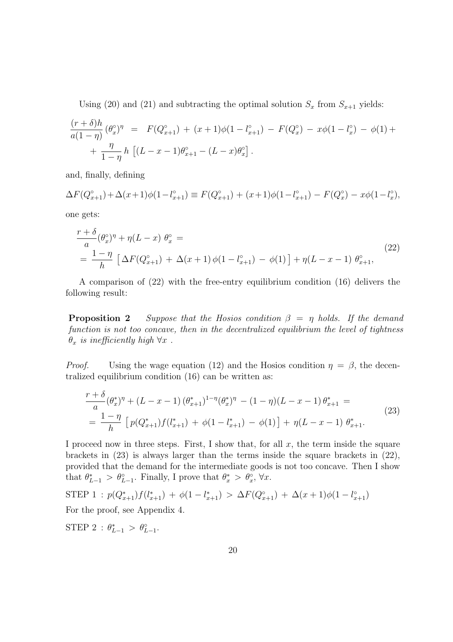Using (20) and (21) and subtracting the optimal solution  $S_x$  from  $S_{x+1}$  yields:

$$
\frac{(r+\delta)h}{a(1-\eta)}(\theta_x^{\circ})^{\eta} = F(Q_{x+1}^{\circ}) + (x+1)\phi(1-l_{x+1}^{\circ}) - F(Q_x^{\circ}) - x\phi(1-l_x^{\circ}) - \phi(1) + \frac{\eta}{1-\eta}h\left[(L-x-1)\theta_{x+1}^{\circ} - (L-x)\theta_x^{\circ}\right].
$$

and, finally, defining

 $\Delta F(Q_{x+1}^{\circ}) + \Delta(x+1)\phi(1-l_{x+1}^{\circ}) \equiv F(Q_{x+1}^{\circ}) + (x+1)\phi(1-l_{x+1}^{\circ}) - F(Q_{x+1}^{\circ})$ <sup>o</sup><sub>x</sub></sub> $-x\phi(1-l_x^{\circ})$  $_{x}^{\circ}$ ),

one gets:

$$
\frac{r+\delta}{a}(\theta_x^{\circ})^{\eta} + \eta(L-x) \ \theta_x^{\circ} =
$$
\n
$$
= \frac{1-\eta}{h} \left[ \Delta F(Q_{x+1}^{\circ}) + \Delta(x+1)\phi(1-l_{x+1}^{\circ}) - \phi(1) \right] + \eta(L-x-1) \ \theta_{x+1}^{\circ},
$$
\n(22)

A comparison of (22) with the free-entry equilibrium condition (16) delivers the following result:

**Proposition 2** Suppose that the Hosios condition  $\beta = \eta$  holds. If the demand function is not too concave, then in the decentralized equilibrium the level of tightness  $\theta_x$  is inefficiently high  $\forall x$ .

*Proof.* Using the wage equation (12) and the Hosios condition  $\eta = \beta$ , the decentralized equilibrium condition (16) can be written as:

$$
\frac{r+\delta}{a}(\theta_x^*)^{\eta} + (L - x - 1)(\theta_{x+1}^*)^{1-\eta}(\theta_x^*)^{\eta} - (1 - \eta)(L - x - 1)\theta_{x+1}^* =
$$
\n
$$
= \frac{1-\eta}{h} \left[ p(Q_{x+1}^*) f(l_{x+1}^*) + \phi(1 - l_{x+1}^*) - \phi(1) \right] + \eta(L - x - 1) \theta_{x+1}^*.
$$
\n(23)

I proceed now in three steps. First, I show that, for all  $x$ , the term inside the square brackets in (23) is always larger than the terms inside the square brackets in (22), provided that the demand for the intermediate goods is not too concave. Then I show that  $\theta_{L-1}^* > \theta_{L-1}^{\circ}$ . Finally, I prove that  $\theta_x^* > \theta_x^{\circ}$ ,  $\forall x$ .

$$
STEP 1 : p(Q_{x+1}^*) f(l_{x+1}^*) + \phi(1 - l_{x+1}^*) > \Delta F(Q_{x+1}^{\circ}) + \Delta(x+1)\phi(1 - l_{x+1}^{\circ})
$$
  
For the proof, see Appendix 4.

STEP 2 :  $\theta_{L-1}^* > \theta_{L-1}^{\circ}$ .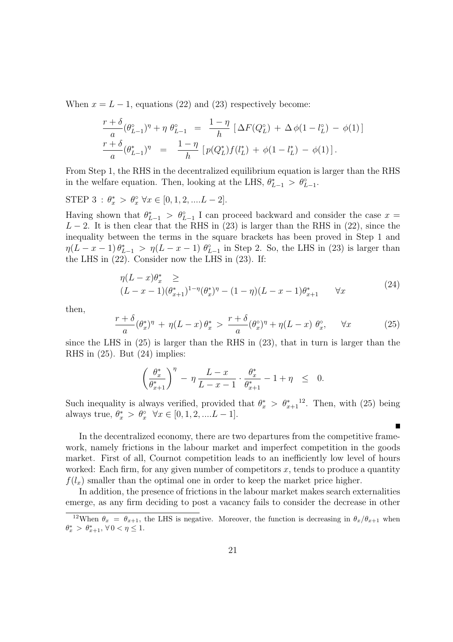When  $x = L - 1$ , equations (22) and (23) respectively become:

$$
\frac{r+\delta}{a}(\theta_{L-1}^{\circ})^{\eta} + \eta \ \theta_{L-1}^{\circ} = \frac{1-\eta}{h} \left[ \Delta F(Q_L^{\circ}) + \Delta \phi (1 - l_L^{\circ}) - \phi (1) \right]
$$
  

$$
\frac{r+\delta}{a}(\theta_{L-1}^{\ast})^{\eta} = \frac{1-\eta}{h} \left[ p(Q_L^{\ast}) f(l_L^{\ast}) + \phi (1 - l_L^{\ast}) - \phi (1) \right].
$$

From Step 1, the RHS in the decentralized equilibrium equation is larger than the RHS in the welfare equation. Then, looking at the LHS,  $\theta_{L-1}^* > \theta_{L-1}^{\circ}$ .

STEP 3 :  $\theta_x^* > \theta_x^{\circ} \ \forall x \in [0, 1, 2, ....L - 2].$ 

Having shown that  $\theta_{L-1}^* > \theta_{L-1}^{\circ}$  I can proceed backward and consider the case  $x =$  $L - 2$ . It is then clear that the RHS in (23) is larger than the RHS in (22), since the inequality between the terms in the square brackets has been proved in Step 1 and  $\eta(L-x-1)\,\theta^*_{L-1} > \eta(L-x-1)\,\theta^{\circ}_{L-1}$  in Step 2. So, the LHS in (23) is larger than the LHS in (22). Consider now the LHS in (23). If:

$$
\eta(L-x)\theta_x^* \ge (L-x-1)(\theta_{x+1}^*)^{1-\eta}(\theta_x^*)^{\eta} - (1-\eta)(L-x-1)\theta_{x+1}^* \qquad \forall x \tag{24}
$$

then,

$$
\frac{r+\delta}{a}(\theta_x^*)^{\eta} + \eta (L-x)\,\theta_x^* > \frac{r+\delta}{a}(\theta_x^{\circ})^{\eta} + \eta (L-x)\,\theta_x^{\circ}, \qquad \forall x \tag{25}
$$

since the LHS in (25) is larger than the RHS in (23), that in turn is larger than the RHS in (25). But (24) implies:

$$
\left(\frac{\theta_x^*}{\theta_{x+1}^*}\right)^\eta\,-\,\eta\,\frac{L-x}{L-x-1}\cdot\frac{\theta_x^*}{\theta_{x+1}^*}-1+\eta\quad\leq\quad 0.
$$

Such inequality is always verified, provided that  $\theta_x^* > \theta_{x+1}^*$ <sup>12</sup>. Then, with (25) being always true,  $\theta_x^* > \theta_x^{\circ} \quad \forall x \in [0, 1, 2, ....L - 1].$ 

In the decentralized economy, there are two departures from the competitive framework, namely frictions in the labour market and imperfect competition in the goods market. First of all, Cournot competition leads to an inefficiently low level of hours worked: Each firm, for any given number of competitors  $x$ , tends to produce a quantity  $f(l<sub>x</sub>)$  smaller than the optimal one in order to keep the market price higher.

In addition, the presence of frictions in the labour market makes search externalities emerge, as any firm deciding to post a vacancy fails to consider the decrease in other

<sup>&</sup>lt;sup>12</sup>When  $\theta_x = \theta_{x+1}$ , the LHS is negative. Moreover, the function is decreasing in  $\theta_x/\theta_{x+1}$  when  $\theta_x^* > \theta_{x+1}^*$ ,  $\forall 0 < \eta \leq 1$ .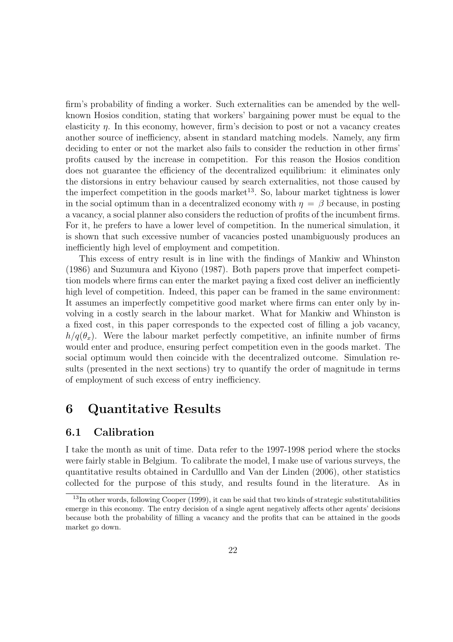firm's probability of finding a worker. Such externalities can be amended by the wellknown Hosios condition, stating that workers' bargaining power must be equal to the elasticity  $\eta$ . In this economy, however, firm's decision to post or not a vacancy creates another source of inefficiency, absent in standard matching models. Namely, any firm deciding to enter or not the market also fails to consider the reduction in other firms' profits caused by the increase in competition. For this reason the Hosios condition does not guarantee the efficiency of the decentralized equilibrium: it eliminates only the distorsions in entry behaviour caused by search externalities, not those caused by the imperfect competition in the goods market $13$ . So, labour market tightness is lower in the social optimum than in a decentralized economy with  $\eta = \beta$  because, in posting a vacancy, a social planner also considers the reduction of profits of the incumbent firms. For it, he prefers to have a lower level of competition. In the numerical simulation, it is shown that such excessive number of vacancies posted unambiguously produces an inefficiently high level of employment and competition.

This excess of entry result is in line with the findings of Mankiw and Whinston (1986) and Suzumura and Kiyono (1987). Both papers prove that imperfect competition models where firms can enter the market paying a fixed cost deliver an inefficiently high level of competition. Indeed, this paper can be framed in the same environment: It assumes an imperfectly competitive good market where firms can enter only by involving in a costly search in the labour market. What for Mankiw and Whinston is a fixed cost, in this paper corresponds to the expected cost of filling a job vacancy,  $h/q(\theta_x)$ . Were the labour market perfectly competitive, an infinite number of firms would enter and produce, ensuring perfect competition even in the goods market. The social optimum would then coincide with the decentralized outcome. Simulation results (presented in the next sections) try to quantify the order of magnitude in terms of employment of such excess of entry inefficiency.

# 6 Quantitative Results

### 6.1 Calibration

I take the month as unit of time. Data refer to the 1997-1998 period where the stocks were fairly stable in Belgium. To calibrate the model, I make use of various surveys, the quantitative results obtained in Cardulllo and Van der Linden (2006), other statistics collected for the purpose of this study, and results found in the literature. As in

 $13$ In other words, following Cooper (1999), it can be said that two kinds of strategic substitutabilities emerge in this economy. The entry decision of a single agent negatively affects other agents' decisions because both the probability of filling a vacancy and the profits that can be attained in the goods market go down.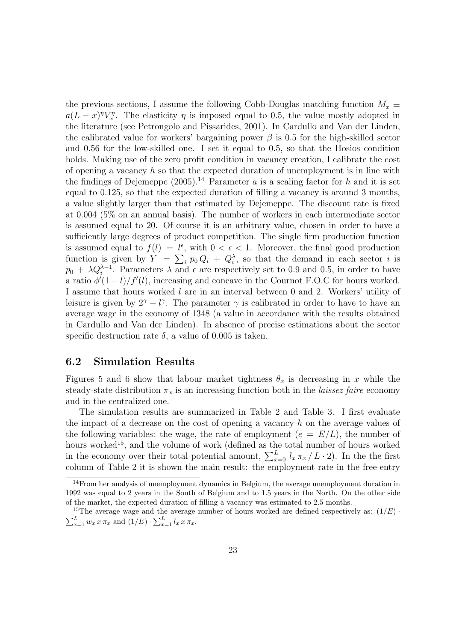the previous sections, I assume the following Cobb-Douglas matching function  $M_x \equiv$  $a(L-x)^{\eta}V_x^{\eta}$ . The elasticity  $\eta$  is imposed equal to 0.5, the value mostly adopted in the literature (see Petrongolo and Pissarides, 2001). In Cardullo and Van der Linden, the calibrated value for workers' bargaining power  $\beta$  is 0.5 for the high-skilled sector and 0.56 for the low-skilled one. I set it equal to 0.5, so that the Hosios condition holds. Making use of the zero profit condition in vacancy creation, I calibrate the cost of opening a vacancy  $h$  so that the expected duration of unemployment is in line with the findings of Dejemeppe  $(2005)^{14}$  Parameter a is a scaling factor for h and it is set equal to 0.125, so that the expected duration of filling a vacancy is around 3 months, a value slightly larger than that estimated by Dejemeppe. The discount rate is fixed at 0.004 (5% on an annual basis). The number of workers in each intermediate sector is assumed equal to 20. Of course it is an arbitrary value, chosen in order to have a sufficiently large degrees of product competition. The single firm production function is assumed equal to  $f(l) = l^{\epsilon}$ , with  $0 < \epsilon < 1$ . Moreover, the final good production function is given by  $Y = \sum_i p_0 Q_i + Q_i^{\lambda}$ , so that the demand in each sector i is  $p_0 + \lambda Q_i^{\lambda-1}$ . Parameters  $\lambda$  and  $\epsilon$  are respectively set to 0.9 and 0.5, in order to have a ratio  $\phi'(1-l)/f'(l)$ , increasing and concave in the Cournot F.O.C for hours worked. I assume that hours worked l are in an interval between 0 and 2. Workers' utility of leisure is given by  $2^{\gamma} - l^{\gamma}$ . The parameter  $\gamma$  is calibrated in order to have to have an average wage in the economy of 1348 (a value in accordance with the results obtained in Cardullo and Van der Linden). In absence of precise estimations about the sector specific destruction rate  $\delta$ , a value of 0.005 is taken.

### 6.2 Simulation Results

Figures 5 and 6 show that labour market tightness  $\theta_x$  is decreasing in x while the steady-state distribution  $\pi_x$  is an increasing function both in the *laissez faire* economy and in the centralized one.

The simulation results are summarized in Table 2 and Table 3. I first evaluate the impact of a decrease on the cost of opening a vacancy h on the average values of the following variables: the wage, the rate of employment  $(e = E/L)$ , the number of hours worked<sup>15</sup>, and the volume of work (defined as the total number of hours worked in the economy over their total potential amount,  $\sum_{x=0}^{L} l_x \pi_x / L \cdot 2$ ). In the the first column of Table 2 it is shown the main result: the employment rate in the free-entry

 $14$ From her analysis of unemployment dynamics in Belgium, the average unemployment duration in 1992 was equal to 2 years in the South of Belgium and to 1.5 years in the North. On the other side of the market, the expected duration of filling a vacancy was estimated to 2.5 months.

<sup>&</sup>lt;sup>15</sup>The average wage and the average number of hours worked are defined respectively as:  $(1/E)$ .  $\sum_{x=1}^{L} w_x x \pi_x$  and  $(1/E) \cdot \sum_{x=1}^{L} l_x x \pi_x$ .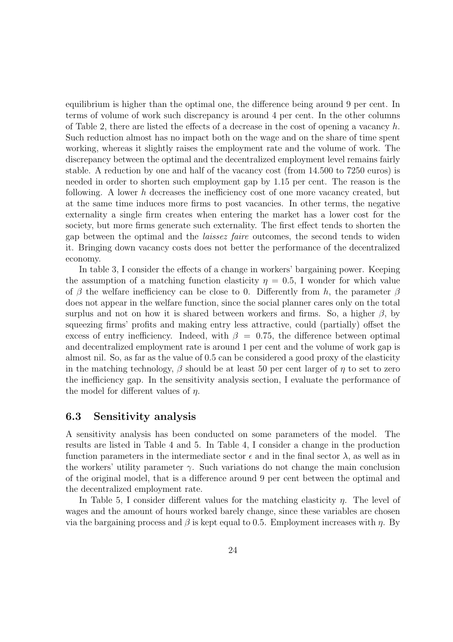equilibrium is higher than the optimal one, the difference being around 9 per cent. In terms of volume of work such discrepancy is around 4 per cent. In the other columns of Table 2, there are listed the effects of a decrease in the cost of opening a vacancy  $h$ . Such reduction almost has no impact both on the wage and on the share of time spent working, whereas it slightly raises the employment rate and the volume of work. The discrepancy between the optimal and the decentralized employment level remains fairly stable. A reduction by one and half of the vacancy cost (from 14.500 to 7250 euros) is needed in order to shorten such employment gap by 1.15 per cent. The reason is the following. A lower h decreases the inefficiency cost of one more vacancy created, but at the same time induces more firms to post vacancies. In other terms, the negative externality a single firm creates when entering the market has a lower cost for the society, but more firms generate such externality. The first effect tends to shorten the gap between the optimal and the laissez faire outcomes, the second tends to widen it. Bringing down vacancy costs does not better the performance of the decentralized economy.

In table 3, I consider the effects of a change in workers' bargaining power. Keeping the assumption of a matching function elasticity  $\eta = 0.5$ , I wonder for which value of  $\beta$  the welfare inefficiency can be close to 0. Differently from h, the parameter  $\beta$ does not appear in the welfare function, since the social planner cares only on the total surplus and not on how it is shared between workers and firms. So, a higher  $\beta$ , by squeezing firms' profits and making entry less attractive, could (partially) offset the excess of entry inefficiency. Indeed, with  $\beta = 0.75$ , the difference between optimal and decentralized employment rate is around 1 per cent and the volume of work gap is almost nil. So, as far as the value of 0.5 can be considered a good proxy of the elasticity in the matching technology,  $\beta$  should be at least 50 per cent larger of  $\eta$  to set to zero the inefficiency gap. In the sensitivity analysis section, I evaluate the performance of the model for different values of  $\eta$ .

### 6.3 Sensitivity analysis

A sensitivity analysis has been conducted on some parameters of the model. The results are listed in Table 4 and 5. In Table 4, I consider a change in the production function parameters in the intermediate sector  $\epsilon$  and in the final sector  $\lambda$ , as well as in the workers' utility parameter  $\gamma$ . Such variations do not change the main conclusion of the original model, that is a difference around 9 per cent between the optimal and the decentralized employment rate.

In Table 5, I consider different values for the matching elasticity  $\eta$ . The level of wages and the amount of hours worked barely change, since these variables are chosen via the bargaining process and  $\beta$  is kept equal to 0.5. Employment increases with  $\eta$ . By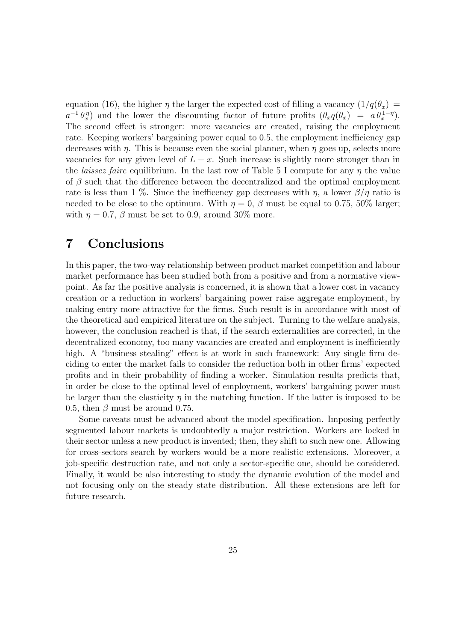equation (16), the higher  $\eta$  the larger the expected cost of filling a vacancy  $(1/q(\theta_x))$  $a^{-1} \theta_x^{\eta}$  and the lower the discounting factor of future profits  $(\theta_x q(\theta_x) = a \theta_x^{1-\eta})$ . The second effect is stronger: more vacancies are created, raising the employment rate. Keeping workers' bargaining power equal to 0.5, the employment inefficiency gap decreases with  $\eta$ . This is because even the social planner, when  $\eta$  goes up, selects more vacancies for any given level of  $L - x$ . Such increase is slightly more stronger than in the *laissez faire* equilibrium. In the last row of Table 5 I compute for any  $\eta$  the value of  $\beta$  such that the difference between the decentralized and the optimal employment rate is less than 1 %. Since the inefficency gap decreases with  $\eta$ , a lower  $\beta/\eta$  ratio is needed to be close to the optimum. With  $\eta = 0$ ,  $\beta$  must be equal to 0.75, 50% larger; with  $\eta = 0.7$ ,  $\beta$  must be set to 0.9, around 30% more.

# 7 Conclusions

In this paper, the two-way relationship between product market competition and labour market performance has been studied both from a positive and from a normative viewpoint. As far the positive analysis is concerned, it is shown that a lower cost in vacancy creation or a reduction in workers' bargaining power raise aggregate employment, by making entry more attractive for the firms. Such result is in accordance with most of the theoretical and empirical literature on the subject. Turning to the welfare analysis, however, the conclusion reached is that, if the search externalities are corrected, in the decentralized economy, too many vacancies are created and employment is inefficiently high. A "business stealing" effect is at work in such framework: Any single firm deciding to enter the market fails to consider the reduction both in other firms' expected profits and in their probability of finding a worker. Simulation results predicts that, in order be close to the optimal level of employment, workers' bargaining power must be larger than the elasticity  $\eta$  in the matching function. If the latter is imposed to be 0.5, then  $\beta$  must be around 0.75.

Some caveats must be advanced about the model specification. Imposing perfectly segmented labour markets is undoubtedly a major restriction. Workers are locked in their sector unless a new product is invented; then, they shift to such new one. Allowing for cross-sectors search by workers would be a more realistic extensions. Moreover, a job-specific destruction rate, and not only a sector-specific one, should be considered. Finally, it would be also interesting to study the dynamic evolution of the model and not focusing only on the steady state distribution. All these extensions are left for future research.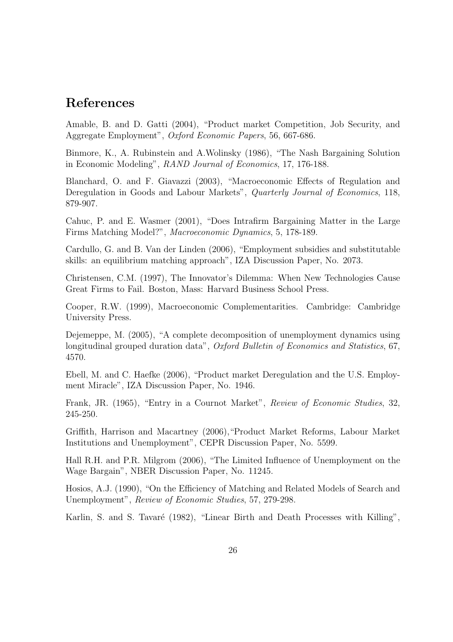# References

Amable, B. and D. Gatti (2004), "Product market Competition, Job Security, and Aggregate Employment", Oxford Economic Papers, 56, 667-686.

Binmore, K., A. Rubinstein and A.Wolinsky (1986), "The Nash Bargaining Solution in Economic Modeling", RAND Journal of Economics, 17, 176-188.

Blanchard, O. and F. Giavazzi (2003), "Macroeconomic Effects of Regulation and Deregulation in Goods and Labour Markets", Quarterly Journal of Economics, 118, 879-907.

Cahuc, P. and E. Wasmer (2001), "Does Intrafirm Bargaining Matter in the Large Firms Matching Model?", Macroeconomic Dynamics, 5, 178-189.

Cardullo, G. and B. Van der Linden (2006), "Employment subsidies and substitutable skills: an equilibrium matching approach", IZA Discussion Paper, No. 2073.

Christensen, C.M. (1997), The Innovator's Dilemma: When New Technologies Cause Great Firms to Fail. Boston, Mass: Harvard Business School Press.

Cooper, R.W. (1999), Macroeconomic Complementarities. Cambridge: Cambridge University Press.

Dejemeppe, M. (2005), "A complete decomposition of unemployment dynamics using longitudinal grouped duration data", Oxford Bulletin of Economics and Statistics, 67, 4570.

Ebell, M. and C. Haefke (2006), "Product market Deregulation and the U.S. Employment Miracle", IZA Discussion Paper, No. 1946.

Frank, JR. (1965), "Entry in a Cournot Market", Review of Economic Studies, 32, 245-250.

Griffith, Harrison and Macartney (2006),"Product Market Reforms, Labour Market Institutions and Unemployment", CEPR Discussion Paper, No. 5599.

Hall R.H. and P.R. Milgrom (2006), "The Limited Influence of Unemployment on the Wage Bargain", NBER Discussion Paper, No. 11245.

Hosios, A.J. (1990), "On the Efficiency of Matching and Related Models of Search and Unemployment", Review of Economic Studies, 57, 279-298.

Karlin, S. and S. Tavaré (1982), "Linear Birth and Death Processes with Killing",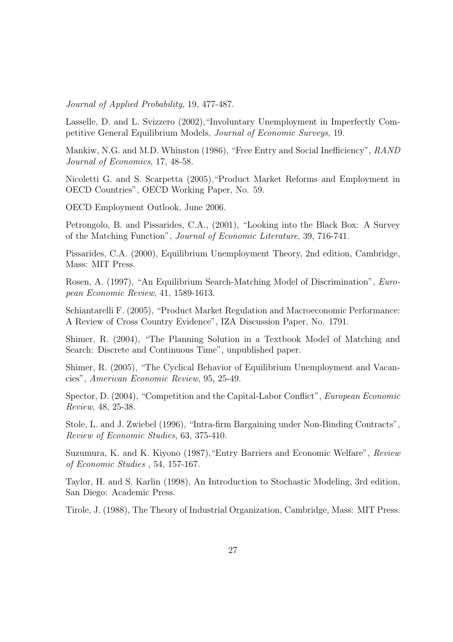Journal of Applied Probability, 19, 477-487.

Lasselle, D. and L. Svizzero (2002),"Involuntary Unemployment in Imperfectly Competitive General Equilibrium Models, Journal of Economic Surveys, 19.

Mankiw, N.G. and M.D. Whinston (1986), "Free Entry and Social Inefficiency", RAND Journal of Economics, 17, 48-58.

Nicoletti G. and S. Scarpetta (2005),"Product Market Reforms and Employment in OECD Countries", OECD Working Paper, No. 59.

OECD Employment Outlook, June 2006.

Petrongolo, B. and Pissarides, C.A., (2001), "Looking into the Black Box: A Survey of the Matching Function", Journal of Economic Literature, 39, 716-741.

Pissarides, C.A. (2000), Equilibrium Unemployment Theory, 2nd edition, Cambridge, Mass: MIT Press.

Rosen, A. (1997), "An Equilibrium Search-Matching Model of Discrimination", European Economic Review, 41, 1589-1613.

Schiantarelli F. (2005), "Product Market Regulation and Macroeconomic Performance: A Review of Cross Country Evidence", IZA Discussion Paper, No. 1791.

Shimer, R. (2004), "The Planning Solution in a Textbook Model of Matching and Search: Discrete and Continuous Time", unpublished paper.

Shimer, R. (2005), "The Cyclical Behavior of Equilibrium Unemployment and Vacancies", American Economic Review, 95, 25-49.

Spector, D. (2004), "Competition and the Capital-Labor Conflict", European Economic Review, 48, 25-38.

Stole, L. and J. Zwiebel (1996), "Intra-firm Bargaining under Non-Binding Contracts", Review of Economic Studies, 63, 375-410.

Suzumura, K. and K. Kiyono (1987),"Entry Barriers and Economic Welfare", Review of Economic Studies , 54, 157-167.

Taylor, H. and S. Karlin (1998), An Introduction to Stochastic Modeling, 3rd edition, San Diego: Academic Press.

Tirole, J. (1988), The Theory of Industrial Organization, Cambridge, Mass: MIT Press.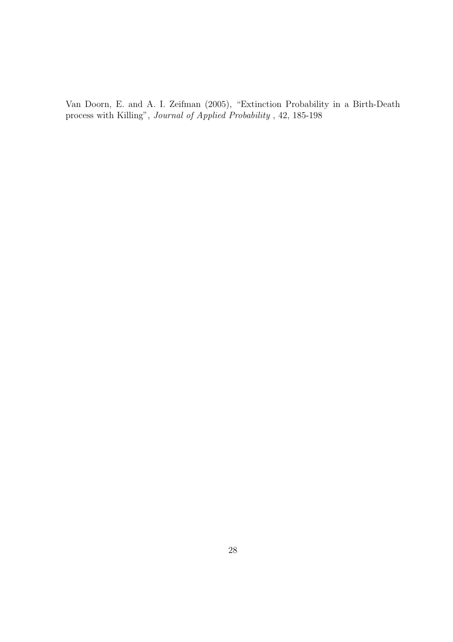Van Doorn, E. and A. I. Zeifman (2005), "Extinction Probability in a Birth-Death process with Killing", Journal of Applied Probability , 42, 185-198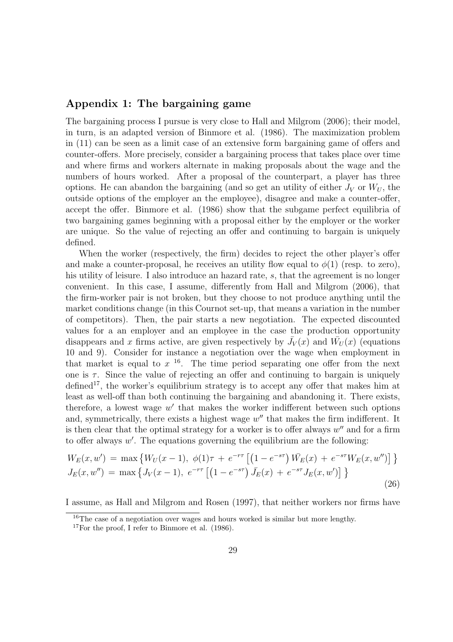### Appendix 1: The bargaining game

The bargaining process I pursue is very close to Hall and Milgrom (2006); their model, in turn, is an adapted version of Binmore et al. (1986). The maximization problem in (11) can be seen as a limit case of an extensive form bargaining game of offers and counter-offers. More precisely, consider a bargaining process that takes place over time and where firms and workers alternate in making proposals about the wage and the numbers of hours worked. After a proposal of the counterpart, a player has three options. He can abandon the bargaining (and so get an utility of either  $J_V$  or  $W_U$ , the outside options of the employer an the employee), disagree and make a counter-offer, accept the offer. Binmore et al. (1986) show that the subgame perfect equilibria of two bargaining games beginning with a proposal either by the employer or the worker are unique. So the value of rejecting an offer and continuing to bargain is uniquely defined.

When the worker (respectively, the firm) decides to reject the other player's offer and make a counter-proposal, he receives an utility flow equal to  $\phi(1)$  (resp. to zero), his utility of leisure. I also introduce an hazard rate, s, that the agreement is no longer convenient. In this case, I assume, differently from Hall and Milgrom (2006), that the firm-worker pair is not broken, but they choose to not produce anything until the market conditions change (in this Cournot set-up, that means a variation in the number of competitors). Then, the pair starts a new negotiation. The expected discounted values for a an employer and an employee in the case the production opportunity disappears and x firms active, are given respectively by  $\bar{J}_V(x)$  and  $\bar{W}_U(x)$  (equations 10 and 9). Consider for instance a negotiation over the wage when employment in that market is equal to  $x<sup>16</sup>$ . The time period separating one offer from the next one is  $\tau$ . Since the value of rejecting an offer and continuing to bargain is uniquely  $\rm{defined}^{17}$ , the worker's equilibrium strategy is to accept any offer that makes him at least as well-off than both continuing the bargaining and abandoning it. There exists, therefore, a lowest wage  $w'$  that makes the worker indifferent between such options and, symmetrically, there exists a highest wage  $w''$  that makes the firm indifferent. It is then clear that the optimal strategy for a worker is to offer always  $w''$  and for a firm to offer always  $w'$ . The equations governing the equilibrium are the following:

$$
W_E(x, w') = \max \{ W_U(x - 1), \phi(1)\tau + e^{-r\tau} \left[ \left( 1 - e^{-s\tau} \right) \bar{W_E}(x) + e^{-s\tau} W_E(x, w'') \right] \}
$$
  
\n
$$
J_E(x, w'') = \max \{ J_V(x - 1), e^{-r\tau} \left[ \left( 1 - e^{-s\tau} \right) \bar{J_E}(x) + e^{-s\tau} J_E(x, w') \right] \}
$$
\n(26)

I assume, as Hall and Milgrom and Rosen (1997), that neither workers nor firms have

<sup>&</sup>lt;sup>16</sup>The case of a negotiation over wages and hours worked is similar but more lengthy.

 $17$ For the proof, I refer to Binmore et al. (1986).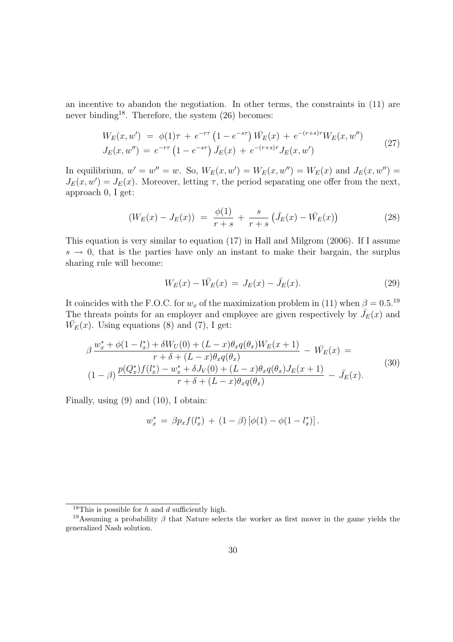an incentive to abandon the negotiation. In other terms, the constraints in (11) are never binding<sup>18</sup>. Therefore, the system  $(26)$  becomes:

$$
W_E(x, w') = \phi(1)\tau + e^{-r\tau} \left(1 - e^{-s\tau}\right) \bar{W}_E(x) + e^{-(r+s)\tau} W_E(x, w'')
$$
  
\n
$$
J_E(x, w'') = e^{-r\tau} \left(1 - e^{-s\tau}\right) \bar{J}_E(x) + e^{-(r+s)\tau} J_E(x, w')
$$
\n(27)

In equilibrium,  $w' = w'' = w$ . So,  $W_E(x, w') = W_E(x, w'') = W_E(x)$  and  $J_E(x, w'') =$  $J_E(x, w') = J_E(x)$ . Moreover, letting  $\tau$ , the period separating one offer from the next, approach 0, I get:

$$
(W_E(x) - J_E(x)) = \frac{\phi(1)}{r+s} + \frac{s}{r+s} \left( \bar{J}_E(x) - \bar{W}_E(x) \right) \tag{28}
$$

This equation is very similar to equation (17) in Hall and Milgrom (2006). If I assume  $s \to 0$ , that is the parties have only an instant to make their bargain, the surplus sharing rule will become:

$$
W_E(x) - \bar{W_E}(x) = J_E(x) - \bar{J_E}(x). \tag{29}
$$

It coincides with the F.O.C. for  $w_x$  of the maximization problem in (11) when  $\beta = 0.5$ .<sup>19</sup> The threats points for an employer and employee are given respectively by  $\bar{J}_E(x)$  and  $\bar{W_E}(x)$ . Using equations (8) and (7), I get:

$$
\beta \frac{w_x^* + \phi(1 - l_x^*) + \delta W_U(0) + (L - x)\theta_x q(\theta_x)W_E(x+1)}{r + \delta + (L - x)\theta_x q(\theta_x)} - W_E(x) =
$$
\n
$$
(1 - \beta) \frac{p(Q_x^*) f(l_x^*) - w_x^* + \delta J_V(0) + (L - x)\theta_x q(\theta_x)J_E(x+1)}{r + \delta + (L - x)\theta_x q(\theta_x)} - \bar{J}_E(x).
$$
\n(30)

Finally, using (9) and (10), I obtain:

$$
w_x^* = \beta p_x f(l_x^*) + (1 - \beta) [\phi(1) - \phi(1 - l_x^*)].
$$

<sup>&</sup>lt;sup>18</sup>This is possible for h and d sufficiently high.

<sup>&</sup>lt;sup>19</sup>Assuming a probability  $\beta$  that Nature selects the worker as first mover in the game yields the generalized Nash solution.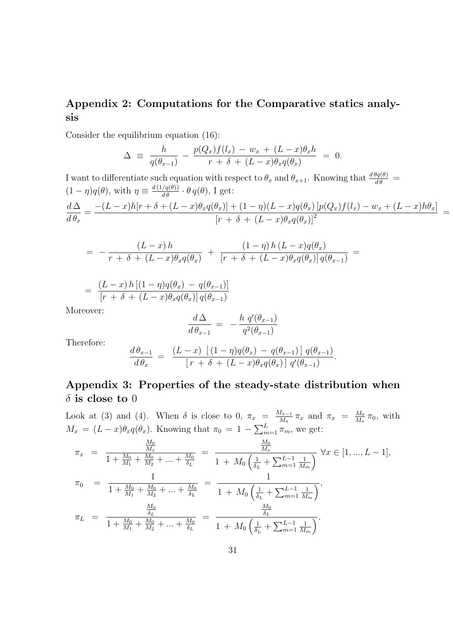### Appendix 2: Computations for the Comparative statics analysis

Consider the equilibrium equation (16):

$$
\Delta \equiv \frac{h}{q(\theta_{x-1})} - \frac{p(Q_x)f(l_x) - w_x + (L-x)\theta_x h}{r + \delta + (L-x)\theta_x q(\theta_x)} = 0.
$$

I want to differentiate such equation with respect to  $\theta_x$  and  $\theta_{x+1}$ . Knowing that  $\frac{d\theta_q(\theta)}{d\theta}$  $(1 - \eta)q(\theta)$ , with  $\eta \equiv \frac{d(1/q(\theta))}{d\theta} \cdot \theta q(\theta)$ , I get:  $d\,\Delta$  $d\theta_x$  $=\frac{-(L-x)h[r+\delta+(L-x)\theta_xq(\theta_x)]+(1-\eta)(L-x)q(\theta_x)[p(Q_x)f(l_x)-w_x+(L-x)h\theta_x]}{[(L-x)h(q_x)^2+(L-x)q(\theta_x)]^2}$  $\frac{[r + \delta + (L-x)\theta_x q(\theta_x)]^2}{[r + \delta + (L-x)\theta_x q(\theta_x)]^2} =$ 

$$
= - \frac{(L-x) h}{r + \delta + (L-x) \theta_x q(\theta_x)} + \frac{(1-\eta) h (L-x) q(\theta_x)}{[r + \delta + (L-x) \theta_x q(\theta_x)] q(\theta_{x-1})} =
$$

$$
= \frac{(L-x) h [(1 - \eta) q(\theta_x) - q(\theta_{x-1})]}{[r + \delta + (L-x) \theta_x q(\theta_x)] q(\theta_{x-1})}
$$

Moreover:

$$
\frac{d\,\Delta}{d\,\theta_{x-1}}\ =\ -\frac{h\,\,q'(\theta_{x-1})}{q^2(\theta_{x-1})}
$$

Therefore:

$$
\frac{d\,\theta_{x-1}}{d\,\theta_x} = \frac{(L-x)\left[ (1-\eta)q(\theta_x) - q(\theta_{x-1}) \right] q(\theta_{x-1})}{\left[ r + \delta + (L-x)\theta_x q(\theta_x) \right] q'(\theta_{x-1})}.
$$

### Appendix 3: Properties of the steady-state distribution when  $\delta$  is close to 0

Look at (3) and (4). When  $\delta$  is close to 0,  $\pi_x = \frac{M_{x-1}}{M_x}$  $\frac{M_{x-1}}{M_x} \pi_x$  and  $\pi_x = \frac{M_0}{M_x}$  $\frac{M_0}{M_x}$   $\pi_0$ , with  $M_x = (L-x)\theta_x q(\theta_x)$ . Knowing that  $\pi_0 = 1 - \sum_{m=1}^{L} \pi_m$ , we get:

$$
\pi_x = \frac{\frac{M_0}{M_x}}{1 + \frac{M_0}{M_1} + \frac{M_0}{M_2} + \dots + \frac{M_0}{\delta_L}} = \frac{\frac{M_0}{M_x}}{1 + M_0 \left(\frac{1}{\delta_L} + \sum_{m=1}^{L-1} \frac{1}{M_m}\right)} \,\forall x \in [1, ..., L-1],
$$
  

$$
\pi_0 = \frac{1}{1 + \frac{M_0}{M_1} + \frac{M_0}{M_2} + \dots + \frac{M_0}{\delta_L}} = \frac{1}{1 + M_0 \left(\frac{1}{\delta_L} + \sum_{m=1}^{L-1} \frac{1}{M_m}\right)},
$$
  

$$
\pi_L = \frac{\frac{M_0}{\delta_L}}{1 + \frac{M_0}{M_1} + \frac{M_0}{M_2} + \dots + \frac{M_0}{\delta_L}} = \frac{\frac{M_0}{\delta_L}}{1 + M_0 \left(\frac{1}{\delta_L} + \sum_{m=1}^{L-1} \frac{1}{M_m}\right)}.
$$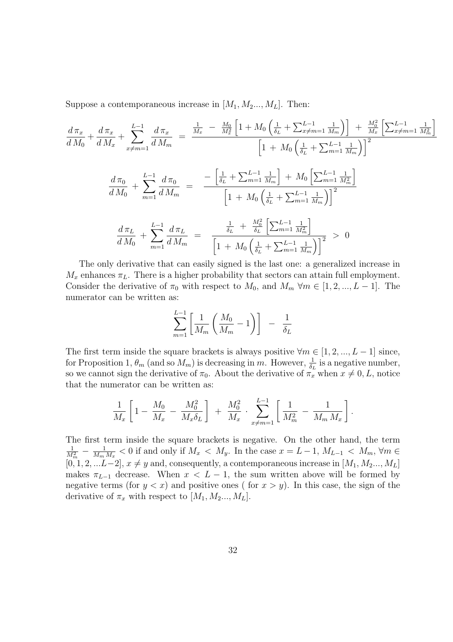Suppose a contemporaneous increase in  $[M_1, M_2, ..., M_L]$ . Then:

$$
\frac{d\pi_x}{dM_0} + \frac{d\pi_x}{dM_x} + \sum_{x \neq m=1}^{L-1} \frac{d\pi_x}{dM_m} = \frac{\frac{1}{M_x} - \frac{M_0}{M_x} \left[1 + M_0 \left(\frac{1}{\delta_L} + \sum_{x \neq m=1}^{L-1} \frac{1}{M_m}\right)\right] + \frac{M_0^2}{M_x} \left[\sum_{x \neq m=1}^{L-1} \frac{1}{M_m^2}\right]}{\left[1 + M_0 \left(\frac{1}{\delta_L} + \sum_{m=1}^{L-1} \frac{1}{M_m}\right)\right]^2}
$$
\n
$$
\frac{d\pi_0}{dM_0} + \sum_{m=1}^{L-1} \frac{d\pi_0}{dM_m} = \frac{-\left[\frac{1}{\delta_L} + \sum_{m=1}^{L-1} \frac{1}{M_m}\right] + M_0 \left[\sum_{m=1}^{L-1} \frac{1}{M_m^2}\right]}{\left[1 + M_0 \left(\frac{1}{\delta_L} + \sum_{m=1}^{L-1} \frac{1}{M_m}\right)\right]^2}
$$
\n
$$
\frac{d\pi_L}{dM_0} + \sum_{m=1}^{L-1} \frac{d\pi_L}{dM_m} = \frac{\frac{1}{\delta_L} + \frac{M_0^2}{\delta_L} \left[\sum_{m=1}^{L-1} \frac{1}{M_m^2}\right]}{\left[1 + M_0 \left(\frac{1}{\delta_L} + \sum_{m=1}^{L-1} \frac{1}{M_m^2}\right)\right]^2} > 0
$$

The only derivative that can easily signed is the last one: a generalized increase in  $M_x$  enhances  $\pi_L$ . There is a higher probability that sectors can attain full employment. Consider the derivative of  $\pi_0$  with respect to  $M_0$ , and  $M_m \forall m \in [1, 2, ..., L-1]$ . The numerator can be written as:

$$
\sum_{m=1}^{L-1} \left[ \frac{1}{M_m} \left( \frac{M_0}{M_m} - 1 \right) \right] - \frac{1}{\delta_L}
$$

The first term inside the square brackets is always positive  $\forall m \in [1, 2, ..., L - 1]$  since, for Proposition 1,  $\theta_m$  (and so  $M_m$ ) is decreasing in m. However,  $\frac{1}{\delta_L}$  is a negative number, so we cannot sign the derivative of  $\pi_0$ . About the derivative of  $\pi_x$  when  $x \neq 0, L$ , notice that the numerator can be written as:

$$
\frac{1}{M_x} \left[ 1 - \frac{M_0}{M_x} - \frac{M_0^2}{M_x \delta_L} \right] + \frac{M_0^2}{M_x} \cdot \sum_{x \neq m=1}^{L-1} \left[ \frac{1}{M_m^2} - \frac{1}{M_m M_x} \right].
$$

The first term inside the square brackets is negative. On the other hand, the term  $\frac{1}{M_m^2} - \frac{1}{M_m}$  $\frac{1}{M_m M_x}$  < 0 if and only if  $M_x \ll M_y$ . In the case  $x = L - 1$ ,  $M_{L-1} \ll M_m$ ,  $\forall m \in$  $[0, 1, 2, \ldots L-2], x \neq y$  and, consequently, a contemporaneous increase in  $[M_1, M_2, \ldots, M_L]$ makes  $\pi_{L-1}$  decrease. When  $x < L-1$ , the sum written above will be formed by negative terms (for  $y < x$ ) and positive ones (for  $x > y$ ). In this case, the sign of the derivative of  $\pi_x$  with respect to  $[M_1, M_2..., M_L]$ .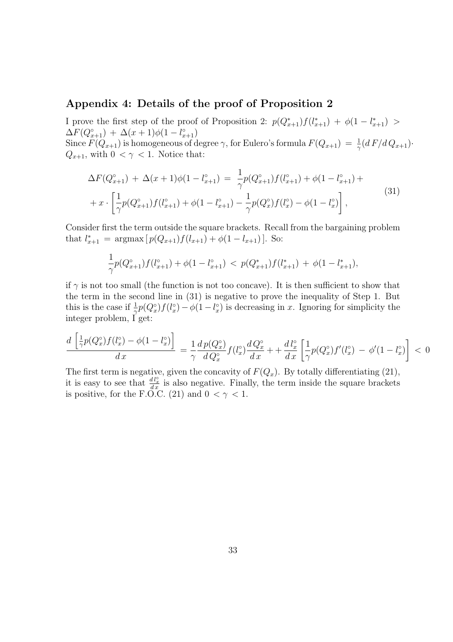### Appendix 4: Details of the proof of Proposition 2

I prove the first step of the proof of Proposition 2:  $p(Q_{x+1}^*)f(l_{x+1}^*) + \phi(1 - l_{x+1}^*)$  $\Delta F(Q_{x+1}^{\circ}) + \Delta(x+1)\phi(1-l_{x+1}^{\circ})$ Since  $F(Q_{x+1})$  is homogeneous of degree  $\gamma$ , for Eulero's formula  $F(Q_{x+1}) = \frac{1}{\gamma} (d F/d Q_{x+1})$ .  $Q_{x+1}$ , with  $0 < \gamma < 1$ . Notice that:

$$
\Delta F(Q_{x+1}^{\circ}) + \Delta(x+1)\phi(1-l_{x+1}^{\circ}) = \frac{1}{\gamma}p(Q_{x+1}^{\circ})f(l_{x+1}^{\circ}) + \phi(1-l_{x+1}^{\circ}) + x \cdot \left[\frac{1}{\gamma}p(Q_{x+1}^{\circ})f(l_{x+1}^{\circ}) + \phi(1-l_{x+1}^{\circ}) - \frac{1}{\gamma}p(Q_{x}^{\circ})f(l_{x}^{\circ}) - \phi(1-l_{x}^{\circ})\right],
$$
\n(31)

Consider first the term outside the square brackets. Recall from the bargaining problem that  $l_{x+1}^* = \operatorname{argmax} [p(Q_{x+1})f(l_{x+1}) + \phi(1 - l_{x+1})]$ . So:

$$
\frac{1}{\gamma}p(Q_{x+1}^{\circ})f(l_{x+1}^{\circ}) + \phi(1 - l_{x+1}^{\circ}) < p(Q_{x+1}^*)f(l_{x+1}^*) + \phi(1 - l_{x+1}^*),
$$

if  $\gamma$  is not too small (the function is not too concave). It is then sufficient to show that the term in the second line in (31) is negative to prove the inequality of Step 1. But this is the case if  $\frac{1}{\gamma}p(Q_x^{\circ})f(l_x^{\circ}) - \phi(1-l_x^{\circ})$  is decreasing in x. Ignoring for simplicity the integer problem, I get:

$$
\frac{d\left[\frac{1}{\gamma}p(Q_x^{\circ})f(l_x^{\circ}) - \phi(1 - l_x^{\circ})\right]}{dx} = \frac{1}{\gamma}\frac{dp(Q_x^{\circ})}{dQ_x^{\circ}}f(l_x^{\circ})\frac{dQ_x^{\circ}}{dx} + \frac{dl_x^{\circ}}{dx}\left[\frac{1}{\gamma}p(Q_x^{\circ})f'(l_x^{\circ}) - \phi'(1 - l_x^{\circ})\right] < 0
$$

The first term is negative, given the concavity of  $F(Q_x)$ . By totally differentiating (21), it is easy to see that  $\frac{d l_x^{\circ}}{dx}$  is also negative. Finally, the term inside the square brackets is positive, for the F.O.C. (21) and  $0 < \gamma < 1$ .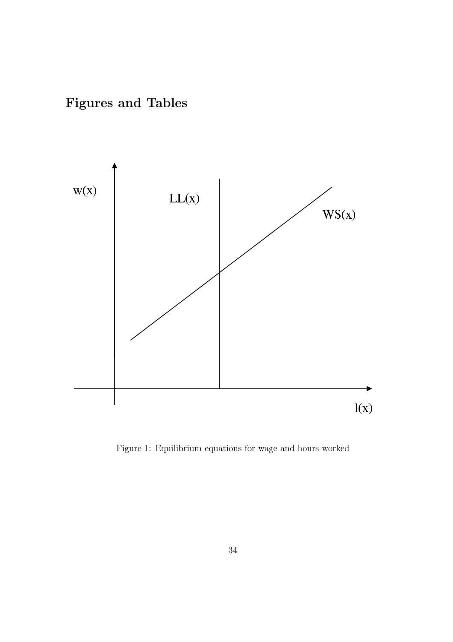Figures and Tables



Figure 1: Equilibrium equations for wage and hours worked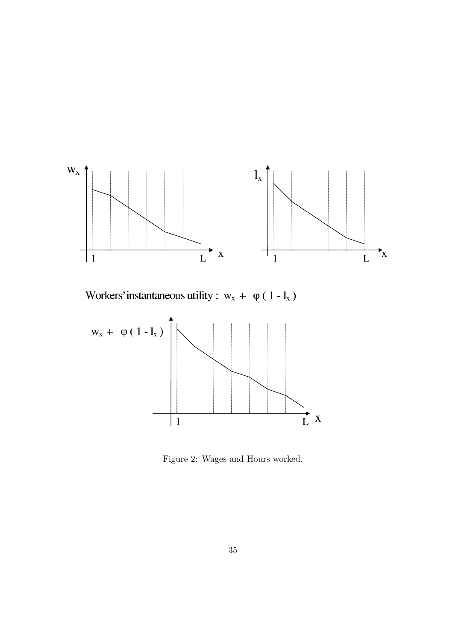

Workers' instantaneous utility :  $w_x + \varphi(1 - l_x)$ 



Figure 2: Wages and Hours worked.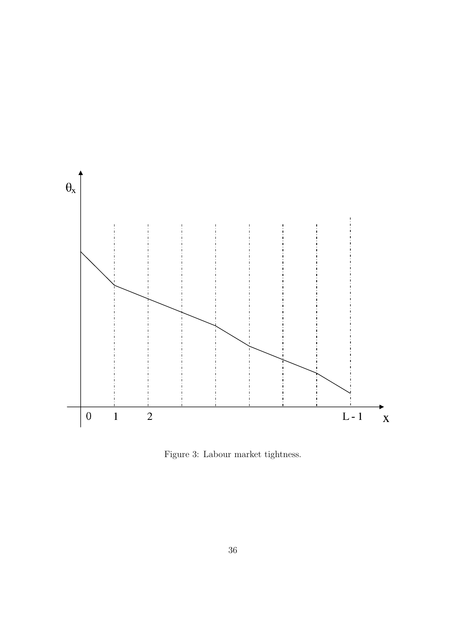

Figure 3: Labour market tightness.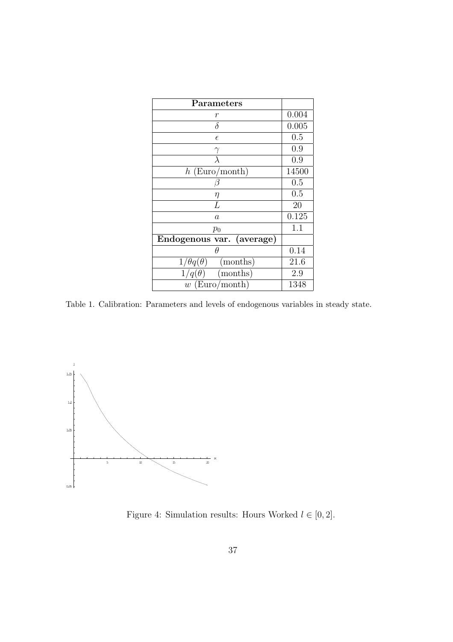| Parameters                           |       |
|--------------------------------------|-------|
| r                                    | 0.004 |
| $\delta$                             | 0.005 |
| $\epsilon$                           | 0.5   |
| $\gamma$                             | 0.9   |
| $\overline{\lambda}$                 | 0.9   |
| $h$ (Euro/month)                     | 14500 |
| 13                                   | 0.5   |
| η                                    | 0.5   |
| L                                    | 20    |
| $\boldsymbol{a}$                     | 0.125 |
| $p_0$                                | 1.1   |
| Endogenous var. (average)            |       |
| θ                                    | 0.14  |
| $1/\theta q(\theta)$<br>(months)     | 21.6  |
| $\overline{1/q}(\theta)$<br>(months) | 2.9   |
| $w$ (Euro/month)                     | 1348  |

Table 1. Calibration: Parameters and levels of endogenous variables in steady state.



Figure 4: Simulation results: Hours Worked $l\in[0,2].$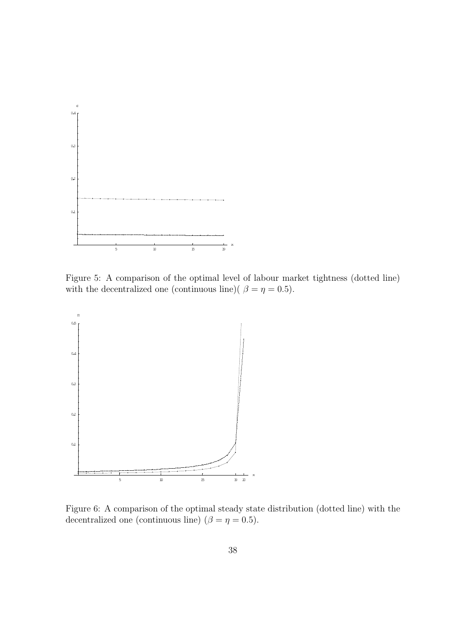

Figure 5: A comparison of the optimal level of labour market tightness (dotted line) with the decentralized one (continuous line)(  $\beta = \eta = 0.5$ ).



Figure 6: A comparison of the optimal steady state distribution (dotted line) with the decentralized one (continuous line) ( $\beta = \eta = 0.5$ ).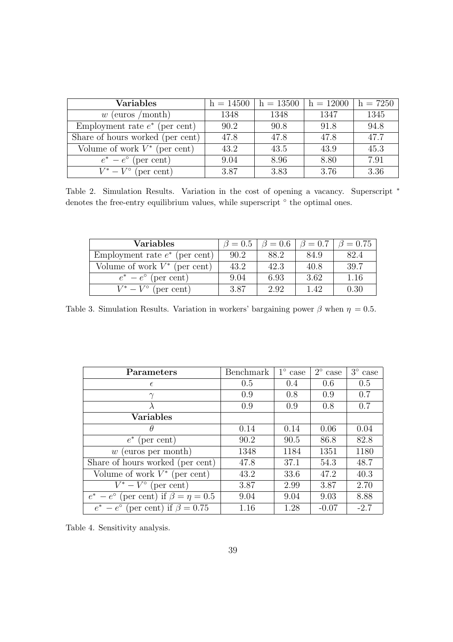| <b>Variables</b>                 | $h = 14500$ | $h = 13500$ | $h = 12000$ | $h = 7250$ |
|----------------------------------|-------------|-------------|-------------|------------|
| (euros /month)<br>w              | 1348        | 1348        | 1347        | 1345       |
| Employment rate $e^*$ (per cent) | 90.2        | 90.8        | 91.8        | 94.8       |
| Share of hours worked (per cent) | 47.8        | 47.8        | 47.8        | 47.7       |
| Volume of work $V^*$ (per cent)  | 43.2        | 43.5        | 43.9        | 45.3       |
| $e^* - e^{\circ}$ (per cent)     | 9.04        | 8.96        | 8.80        | 7.91       |
| $V^* - V^{\circ}$ (per cent)     | 3.87        | 3.83        | 3.76        | 3.36       |

Table 2. Simulation Results. Variation in the cost of opening a vacancy. Superscript  $*$ denotes the free-entry equilibrium values, while superscript  $\circ$  the optimal ones.

| Variables                        | $\beta = 0.5$ | $\beta = 0.6$ | $\beta = 0.7$ | $\beta = 0.75$ |
|----------------------------------|---------------|---------------|---------------|----------------|
| Employment rate $e^*$ (per cent) | 90.2          | 88.2          | 84.9          | 82.4           |
| Volume of work $V^*$ (per cent)  | 43.2          | 42.3          | 40.8          | 39.7           |
| $e^* - e^{\circ}$ (per cent)     | 9.04          | 6.93          | 3.62          | 1.16           |
| $V^* - V^{\circ}$ (per cent)     | 3.87          | 2.92          | 142           | 0.30           |

Table 3. Simulation Results. Variation in workers' bargaining power  $\beta$  when  $\eta = 0.5$ .

| <b>Parameters</b>                                    | <b>Benchmark</b> | $1^{\circ}$ case | $2^{\circ}$ case | $3^{\circ}$ case |
|------------------------------------------------------|------------------|------------------|------------------|------------------|
| $\epsilon$                                           | 0.5              | 0.4              | 0.6              | 0.5              |
|                                                      | 0.9              | 0.8              | 0.9              | 0.7              |
|                                                      | 0.9              | 0.9              | 0.8              | 0.7              |
| <b>Variables</b>                                     |                  |                  |                  |                  |
| $\theta$                                             | 0.14             | 0.14             | 0.06             | 0.04             |
| $e^*$ (per cent)                                     | 90.2             | 90.5             | 86.8             | 82.8             |
| (euros per month)<br>w                               | 1348             | 1184             | 1351             | 1180             |
| Share of hours worked (per cent)                     | 47.8             | 37.1             | 54.3             | 48.7             |
| Volume of work $V^*$ (per cent)                      | 43.2             | 33.6             | 47.2             | 40.3             |
| $V^* - V^{\circ}$ (per cent)                         | 3.87             | 2.99             | 3.87             | 2.70             |
| $e^* - e^{\circ}$ (per cent) if $\beta = \eta = 0.5$ | 9.04             | 9.04             | 9.03             | 8.88             |
| $e^* - e^{\circ}$ (per cent) if $\beta = 0.75$       | 1.16             | 1.28             | $-0.07$          | $-2.7$           |

Table 4. Sensitivity analysis.